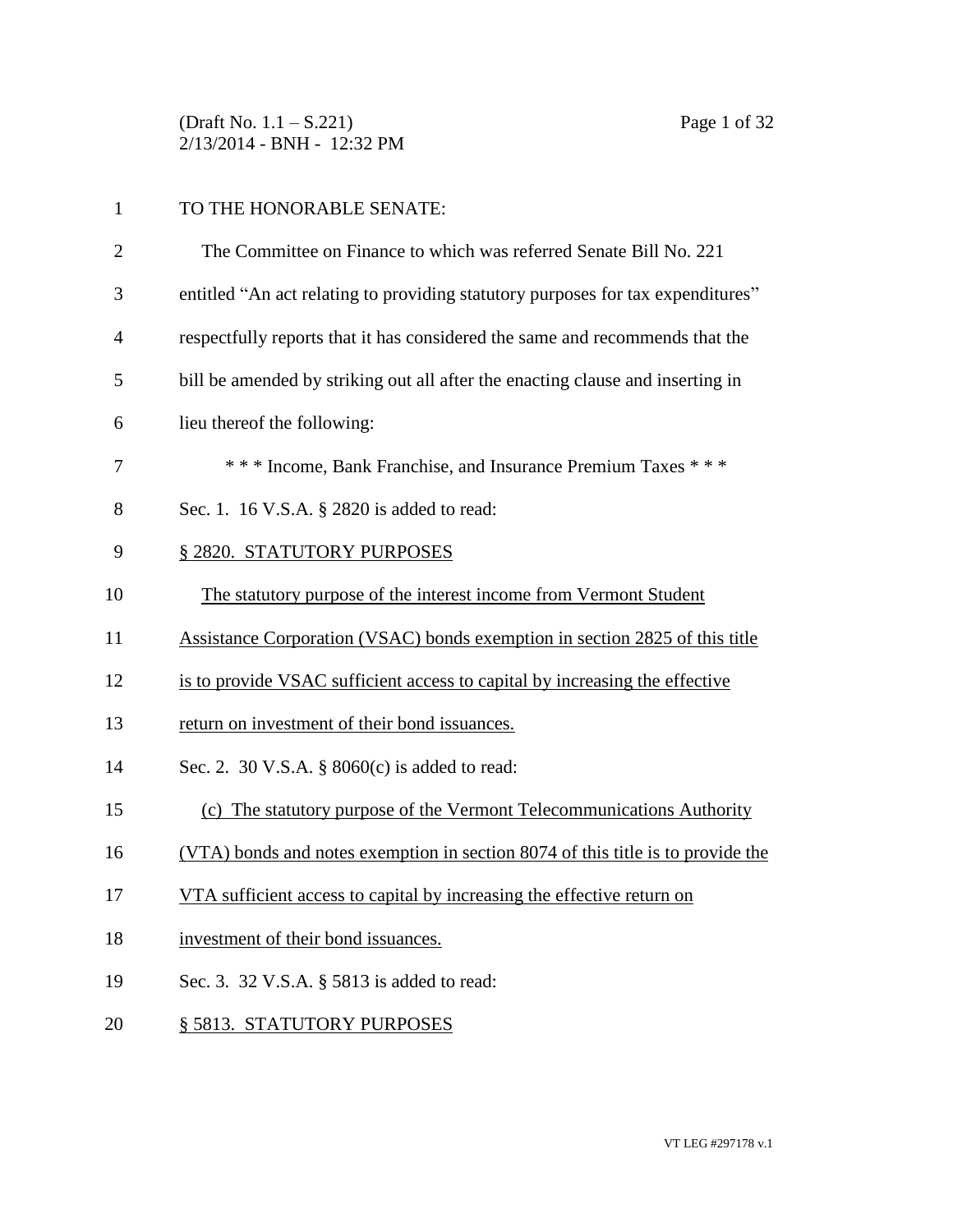(Draft No. 1.1 – S.221) Page 1 of 32 2/13/2014 - BNH - 12:32 PM

## 1 TO THE HONORABLE SENATE:

| $\overline{2}$ | The Committee on Finance to which was referred Senate Bill No. 221              |
|----------------|---------------------------------------------------------------------------------|
| 3              | entitled "An act relating to providing statutory purposes for tax expenditures" |
| $\overline{4}$ | respectfully reports that it has considered the same and recommends that the    |
| 5              | bill be amended by striking out all after the enacting clause and inserting in  |
| 6              | lieu thereof the following:                                                     |
| 7              | *** Income, Bank Franchise, and Insurance Premium Taxes ***                     |
| 8              | Sec. 1. 16 V.S.A. § 2820 is added to read:                                      |
| 9              | § 2820. STATUTORY PURPOSES                                                      |
| 10             | The statutory purpose of the interest income from Vermont Student               |
| 11             | Assistance Corporation (VSAC) bonds exemption in section 2825 of this title     |
| 12             | is to provide VSAC sufficient access to capital by increasing the effective     |
| 13             | return on investment of their bond issuances.                                   |
| 14             | Sec. 2. 30 V.S.A. $\S$ 8060(c) is added to read:                                |
| 15             | (c) The statutory purpose of the Vermont Telecommunications Authority           |
| 16             | (VTA) bonds and notes exemption in section 8074 of this title is to provide the |
| 17             | VTA sufficient access to capital by increasing the effective return on          |
| 18             | investment of their bond issuances.                                             |
| 19             | Sec. 3. 32 V.S.A. § 5813 is added to read:                                      |
| 20             | § 5813. STATUTORY PURPOSES                                                      |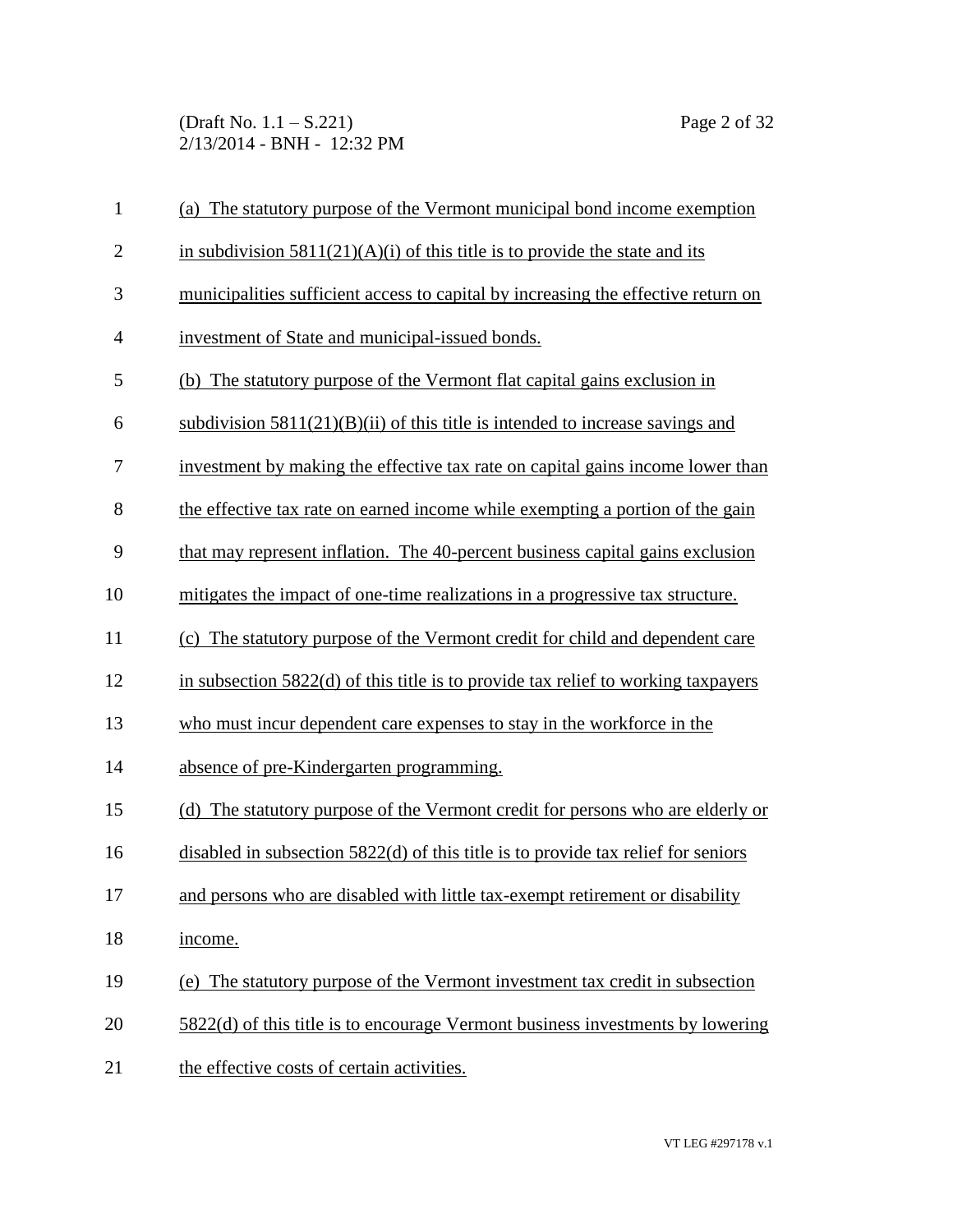(Draft No. 1.1 – S.221) Page 2 of 32 2/13/2014 - BNH - 12:32 PM

| $\mathbf{1}$   | (a) The statutory purpose of the Vermont municipal bond income exemption            |
|----------------|-------------------------------------------------------------------------------------|
| $\overline{2}$ | in subdivision $5811(21)(A)(i)$ of this title is to provide the state and its       |
| 3              | municipalities sufficient access to capital by increasing the effective return on   |
| 4              | investment of State and municipal-issued bonds.                                     |
| 5              | (b) The statutory purpose of the Vermont flat capital gains exclusion in            |
| 6              | subdivision $5811(21)(B)(ii)$ of this title is intended to increase savings and     |
| 7              | investment by making the effective tax rate on capital gains income lower than      |
| 8              | the effective tax rate on earned income while exempting a portion of the gain       |
| 9              | that may represent inflation. The 40-percent business capital gains exclusion       |
| 10             | mitigates the impact of one-time realizations in a progressive tax structure.       |
| 11             | (c) The statutory purpose of the Vermont credit for child and dependent care        |
| 12             | in subsection $5822(d)$ of this title is to provide tax relief to working taxpayers |
| 13             | who must incur dependent care expenses to stay in the workforce in the              |
| 14             | absence of pre-Kindergarten programming.                                            |
| 15             | (d) The statutory purpose of the Vermont credit for persons who are elderly or      |
| 16             | disabled in subsection 5822(d) of this title is to provide tax relief for seniors   |
| 17             | and persons who are disabled with little tax-exempt retirement or disability        |
| 18             | income.                                                                             |
| 19             | (e) The statutory purpose of the Vermont investment tax credit in subsection        |
| 20             | 5822(d) of this title is to encourage Vermont business investments by lowering      |
| 21             | the effective costs of certain activities.                                          |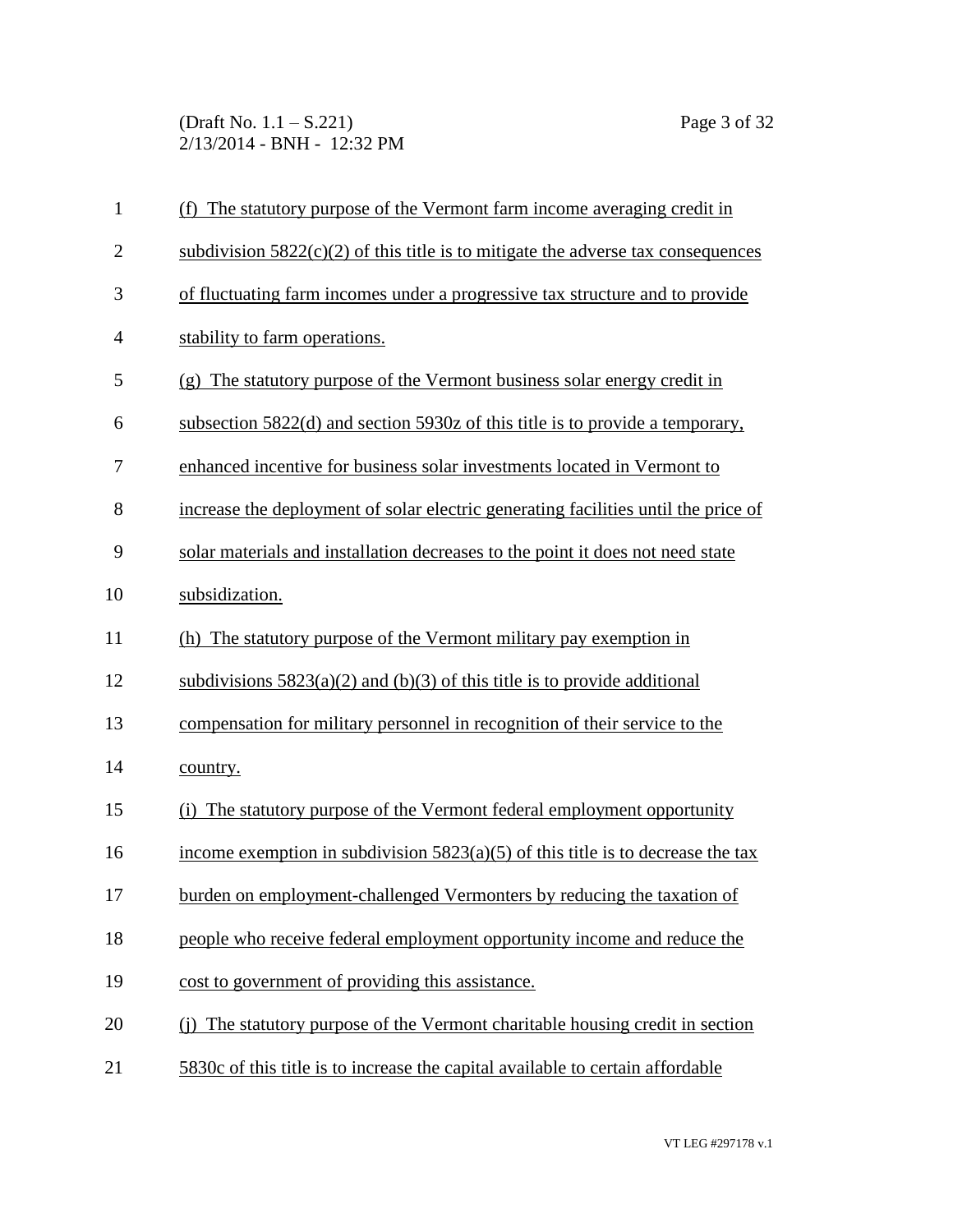(Draft No. 1.1 – S.221) Page 3 of 32 2/13/2014 - BNH - 12:32 PM

| $\mathbf{1}$   | (f) The statutory purpose of the Vermont farm income averaging credit in           |
|----------------|------------------------------------------------------------------------------------|
| $\overline{2}$ | subdivision $5822(c)(2)$ of this title is to mitigate the adverse tax consequences |
| 3              | of fluctuating farm incomes under a progressive tax structure and to provide       |
| $\overline{4}$ | stability to farm operations.                                                      |
| 5              | (g) The statutory purpose of the Vermont business solar energy credit in           |
| 6              | subsection 5822(d) and section 5930z of this title is to provide a temporary,      |
| 7              | enhanced incentive for business solar investments located in Vermont to            |
| 8              | increase the deployment of solar electric generating facilities until the price of |
| 9              | solar materials and installation decreases to the point it does not need state     |
| 10             | subsidization.                                                                     |
| 11             | (h) The statutory purpose of the Vermont military pay exemption in                 |
| 12             | subdivisions $5823(a)(2)$ and (b)(3) of this title is to provide additional        |
| 13             | compensation for military personnel in recognition of their service to the         |
| 14             | country.                                                                           |
| 15             | The statutory purpose of the Vermont federal employment opportunity<br>(i)         |
| 16             | income exemption in subdivision $5823(a)(5)$ of this title is to decrease the tax  |
| 17             | burden on employment-challenged Vermonters by reducing the taxation of             |
| 18             | people who receive federal employment opportunity income and reduce the            |
| 19             | cost to government of providing this assistance.                                   |
| 20             | The statutory purpose of the Vermont charitable housing credit in section<br>(i)   |
| 21             | 5830c of this title is to increase the capital available to certain affordable     |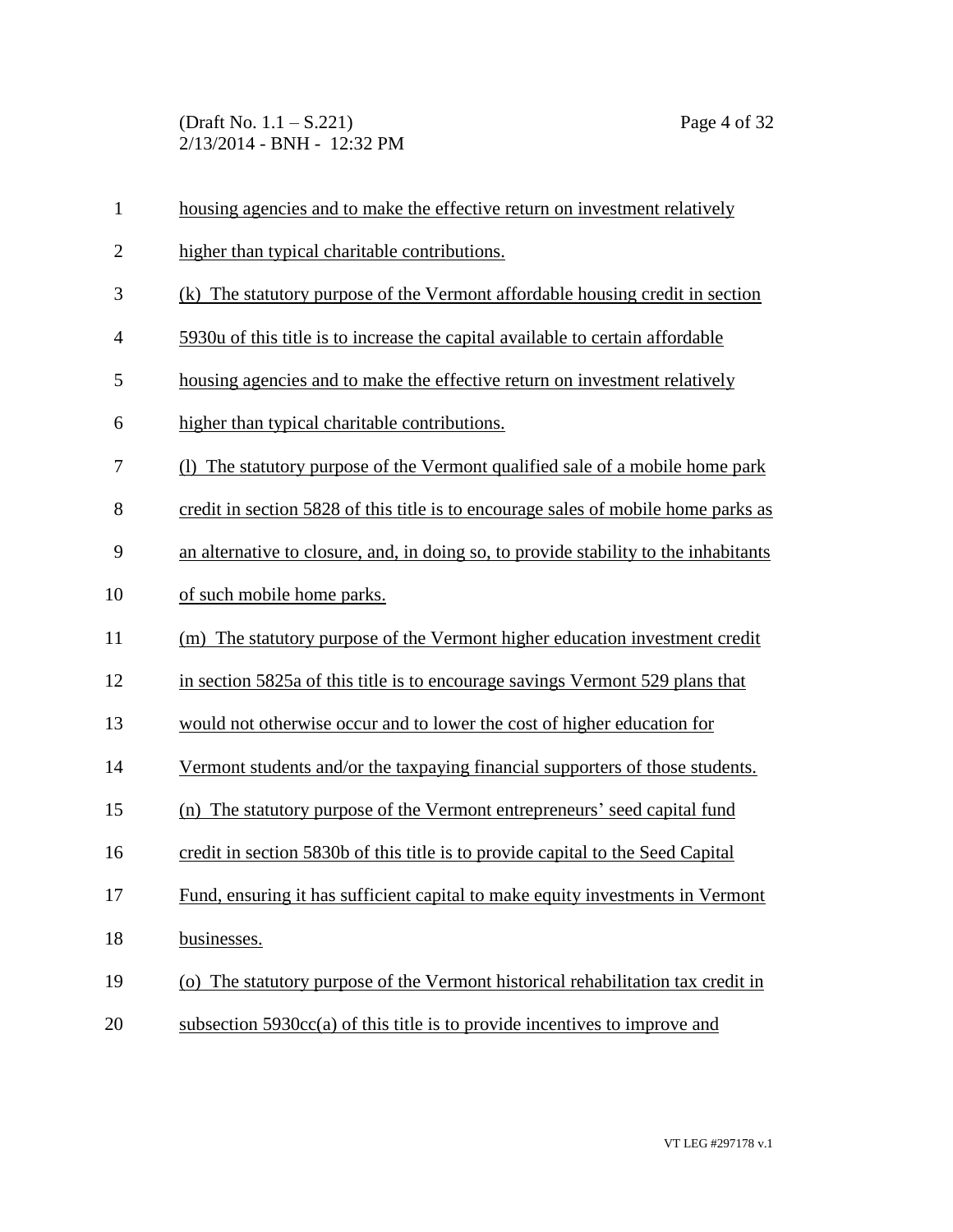(Draft No. 1.1 – S.221) Page 4 of 32 2/13/2014 - BNH - 12:32 PM

| $\mathbf{1}$   | housing agencies and to make the effective return on investment relatively           |
|----------------|--------------------------------------------------------------------------------------|
| $\overline{2}$ | higher than typical charitable contributions.                                        |
| 3              | (k) The statutory purpose of the Vermont affordable housing credit in section        |
| $\overline{4}$ | 5930u of this title is to increase the capital available to certain affordable       |
| 5              | housing agencies and to make the effective return on investment relatively           |
| 6              | higher than typical charitable contributions.                                        |
| 7              | The statutory purpose of the Vermont qualified sale of a mobile home park            |
| 8              | credit in section 5828 of this title is to encourage sales of mobile home parks as   |
| 9              | an alternative to closure, and, in doing so, to provide stability to the inhabitants |
| 10             | of such mobile home parks.                                                           |
| 11             | (m) The statutory purpose of the Vermont higher education investment credit          |
| 12             | in section 5825a of this title is to encourage savings Vermont 529 plans that        |
| 13             | would not otherwise occur and to lower the cost of higher education for              |
| 14             | Vermont students and/or the taxpaying financial supporters of those students.        |
| 15             | (n) The statutory purpose of the Vermont entrepreneurs' seed capital fund            |
| 16             | credit in section 5830b of this title is to provide capital to the Seed Capital      |
| 17             | Fund, ensuring it has sufficient capital to make equity investments in Vermont       |
| 18             | businesses.                                                                          |
| 19             | (o) The statutory purpose of the Vermont historical rehabilitation tax credit in     |
| 20             | subsection $5930cc(a)$ of this title is to provide incentives to improve and         |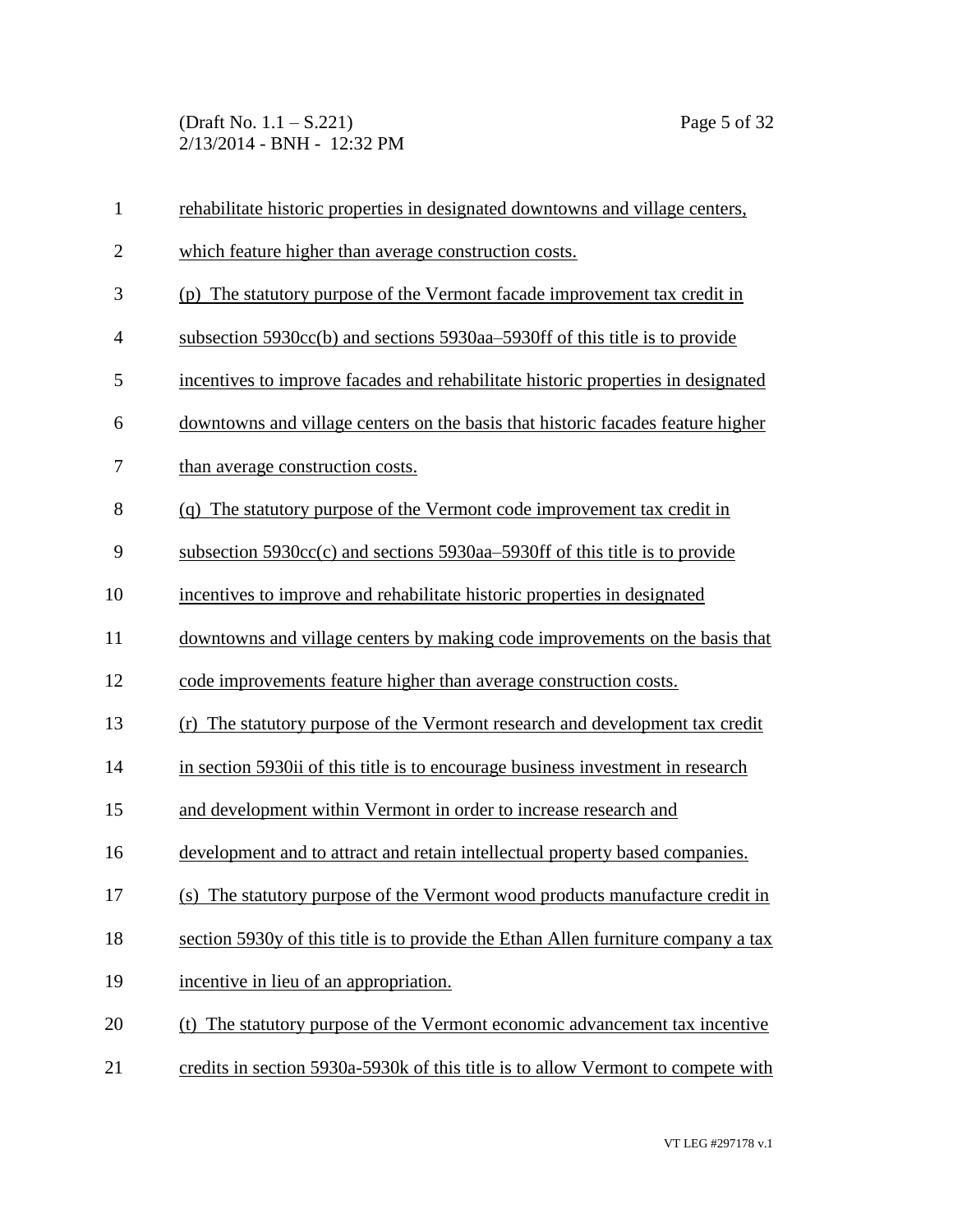(Draft No. 1.1 – S.221) Page 5 of 32 2/13/2014 - BNH - 12:32 PM

| $\mathbf{1}$   | rehabilitate historic properties in designated downtowns and village centers,     |
|----------------|-----------------------------------------------------------------------------------|
| $\mathbf{2}$   | which feature higher than average construction costs.                             |
| 3              | (p) The statutory purpose of the Vermont facade improvement tax credit in         |
| $\overline{4}$ | subsection 5930cc(b) and sections 5930aa–5930ff of this title is to provide       |
| 5              | incentives to improve facades and rehabilitate historic properties in designated  |
| 6              | downtowns and village centers on the basis that historic facades feature higher   |
| 7              | than average construction costs.                                                  |
| 8              | (q) The statutory purpose of the Vermont code improvement tax credit in           |
| 9              | subsection 5930cc(c) and sections 5930aa–5930ff of this title is to provide       |
| 10             | incentives to improve and rehabilitate historic properties in designated          |
| 11             | downtowns and village centers by making code improvements on the basis that       |
| 12             | code improvements feature higher than average construction costs.                 |
| 13             | (r) The statutory purpose of the Vermont research and development tax credit      |
| 14             | in section 5930ii of this title is to encourage business investment in research   |
| 15             | and development within Vermont in order to increase research and                  |
| 16             | development and to attract and retain intellectual property based companies.      |
| 17             | (s) The statutory purpose of the Vermont wood products manufacture credit in      |
| 18             | section 5930y of this title is to provide the Ethan Allen furniture company a tax |
| 19             | incentive in lieu of an appropriation.                                            |
| 20             | The statutory purpose of the Vermont economic advancement tax incentive<br>(t)    |
| 21             | credits in section 5930a-5930k of this title is to allow Vermont to compete with  |
|                |                                                                                   |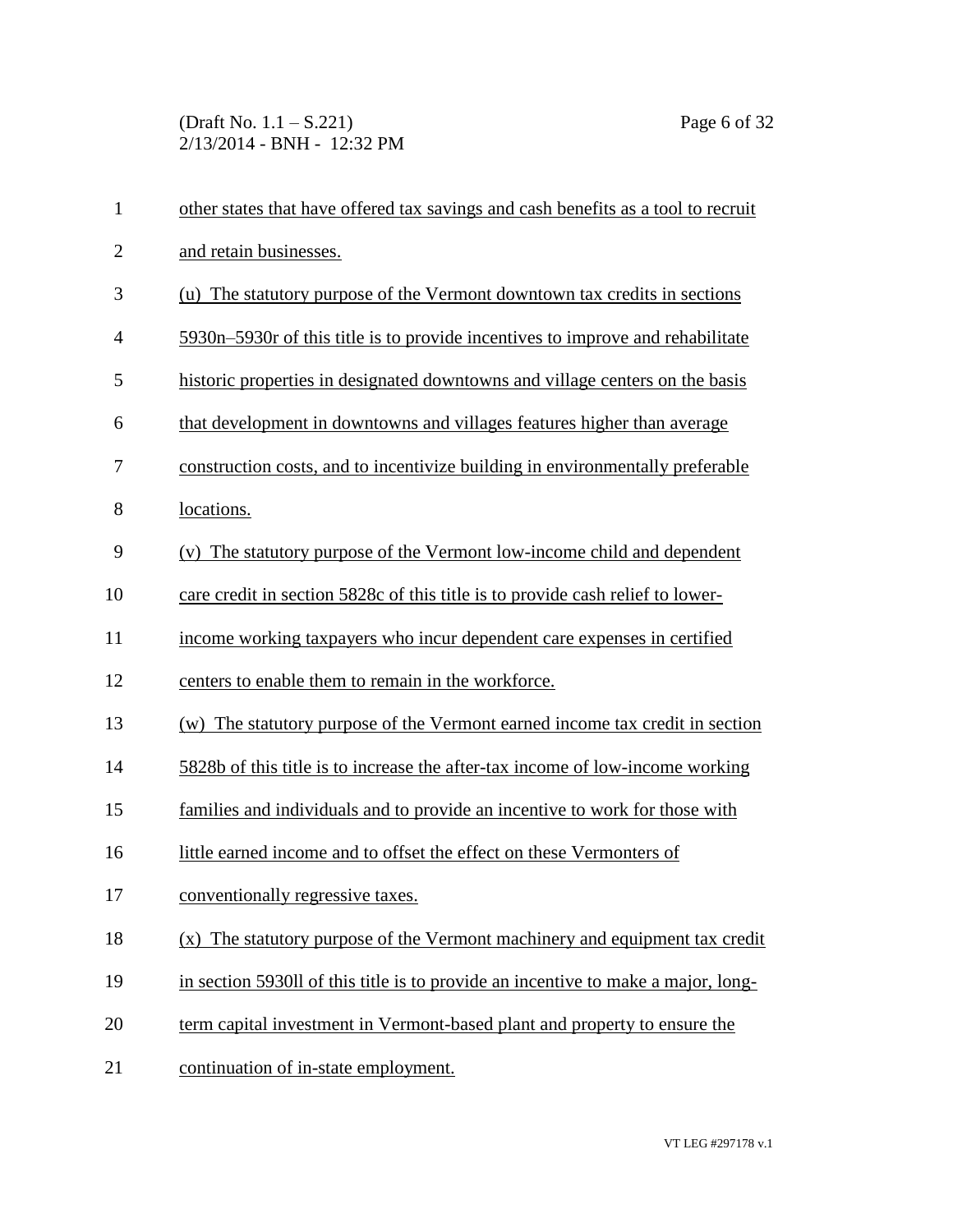(Draft No. 1.1 – S.221) Page 6 of 32 2/13/2014 - BNH - 12:32 PM

| $\mathbf{1}$   | other states that have offered tax savings and cash benefits as a tool to recruit |
|----------------|-----------------------------------------------------------------------------------|
| $\overline{2}$ | and retain businesses.                                                            |
| 3              | (u) The statutory purpose of the Vermont downtown tax credits in sections         |
| $\overline{4}$ | 5930n–5930r of this title is to provide incentives to improve and rehabilitate    |
| 5              | historic properties in designated downtowns and village centers on the basis      |
| 6              | that development in downtowns and villages features higher than average           |
| 7              | construction costs, and to incentivize building in environmentally preferable     |
| 8              | locations.                                                                        |
| 9              | (v) The statutory purpose of the Vermont low-income child and dependent           |
| 10             | care credit in section 5828c of this title is to provide cash relief to lower-    |
| 11             | income working taxpayers who incur dependent care expenses in certified           |
| 12             | centers to enable them to remain in the workforce.                                |
| 13             | (w) The statutory purpose of the Vermont earned income tax credit in section      |
| 14             | 5828b of this title is to increase the after-tax income of low-income working     |
| 15             | families and individuals and to provide an incentive to work for those with       |
| 16             | little earned income and to offset the effect on these Vermonters of              |
| 17             | conventionally regressive taxes.                                                  |
| 18             | (x) The statutory purpose of the Vermont machinery and equipment tax credit       |
| 19             | in section 5930ll of this title is to provide an incentive to make a major, long- |
| 20             | term capital investment in Vermont-based plant and property to ensure the         |
| 21             | continuation of in-state employment.                                              |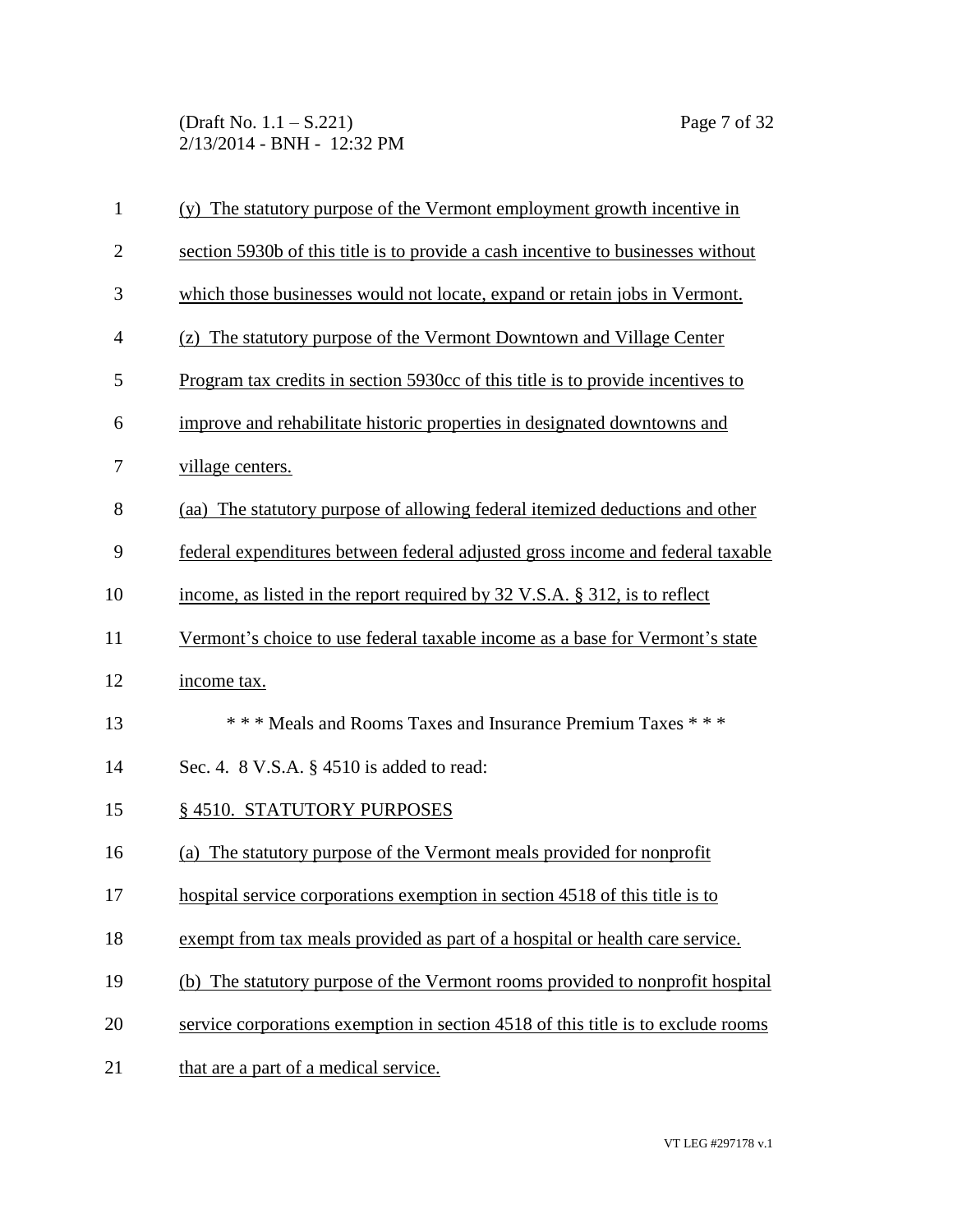(Draft No. 1.1 – S.221) Page 7 of 32 2/13/2014 - BNH - 12:32 PM

| $\mathbf{1}$ | (y) The statutory purpose of the Vermont employment growth incentive in          |
|--------------|----------------------------------------------------------------------------------|
| $\mathbf{2}$ | section 5930b of this title is to provide a cash incentive to businesses without |
| 3            | which those businesses would not locate, expand or retain jobs in Vermont.       |
| 4            | (z) The statutory purpose of the Vermont Downtown and Village Center             |
| 5            | Program tax credits in section 5930cc of this title is to provide incentives to  |
| 6            | improve and rehabilitate historic properties in designated downtowns and         |
| 7            | village centers.                                                                 |
| 8            | (aa) The statutory purpose of allowing federal itemized deductions and other     |
| 9            | federal expenditures between federal adjusted gross income and federal taxable   |
| 10           | income, as listed in the report required by 32 V.S.A. § 312, is to reflect       |
| 11           | Vermont's choice to use federal taxable income as a base for Vermont's state     |
| 12           | income tax.                                                                      |
| 13           | *** Meals and Rooms Taxes and Insurance Premium Taxes ***                        |
| 14           | Sec. 4. 8 V.S.A. § 4510 is added to read:                                        |
| 15           | § 4510. STATUTORY PURPOSES                                                       |
| 16           | (a) The statutory purpose of the Vermont meals provided for nonprofit            |
| 17           | hospital service corporations exemption in section 4518 of this title is to      |
| 18           | exempt from tax meals provided as part of a hospital or health care service.     |
| 19           | (b) The statutory purpose of the Vermont rooms provided to nonprofit hospital    |
| 20           | service corporations exemption in section 4518 of this title is to exclude rooms |
| 21           | that are a part of a medical service.                                            |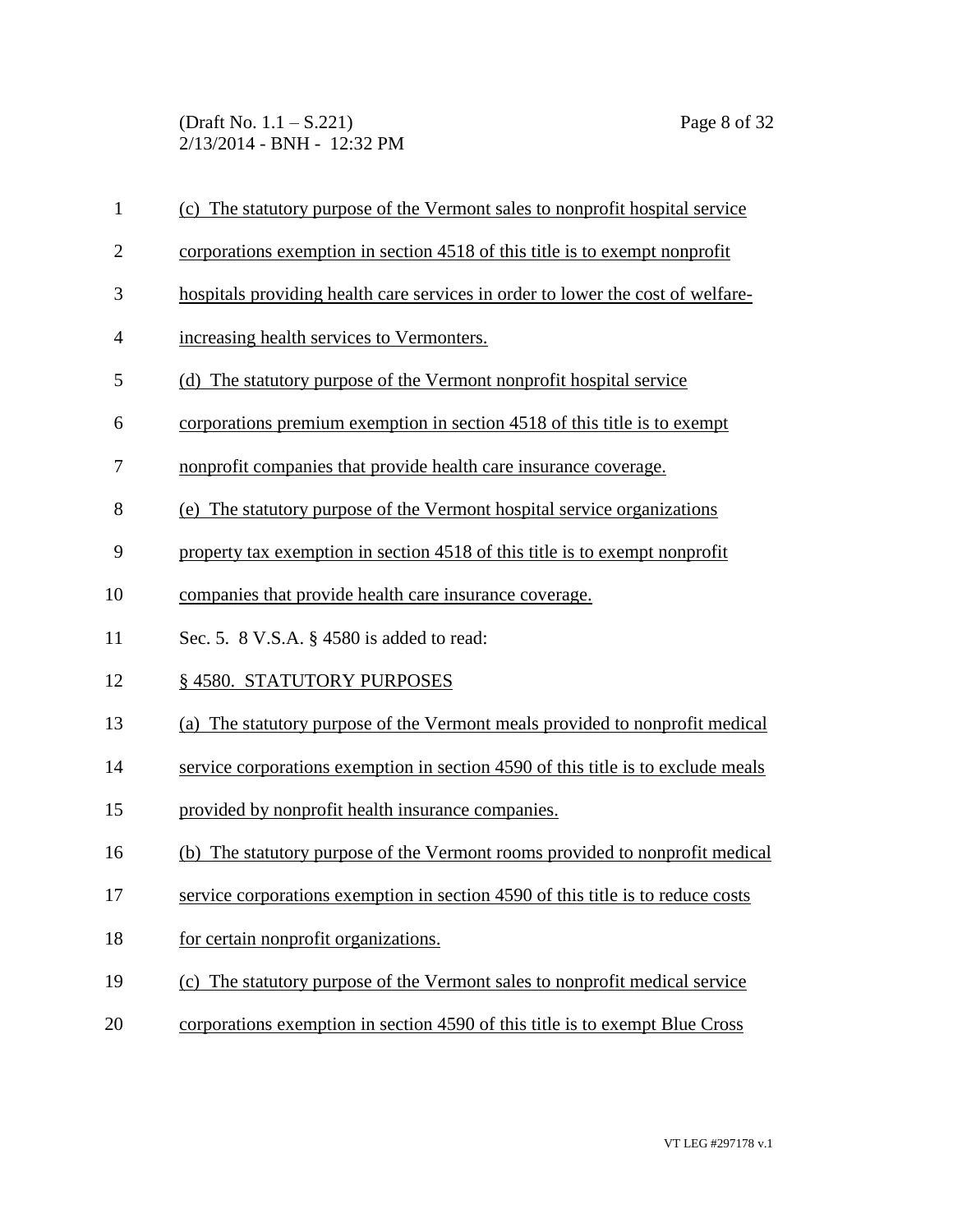(Draft No. 1.1 – S.221) Page 8 of 32 2/13/2014 - BNH - 12:32 PM

| $\mathbf{1}$   | (c) The statutory purpose of the Vermont sales to nonprofit hospital service     |
|----------------|----------------------------------------------------------------------------------|
| $\overline{2}$ | corporations exemption in section 4518 of this title is to exempt nonprofit      |
| 3              | hospitals providing health care services in order to lower the cost of welfare-  |
| $\overline{4}$ | increasing health services to Vermonters.                                        |
| 5              | (d) The statutory purpose of the Vermont nonprofit hospital service              |
| 6              | corporations premium exemption in section 4518 of this title is to exempt        |
| 7              | nonprofit companies that provide health care insurance coverage.                 |
| 8              | (e) The statutory purpose of the Vermont hospital service organizations          |
| 9              | property tax exemption in section 4518 of this title is to exempt nonprofit      |
| 10             | companies that provide health care insurance coverage.                           |
| 11             | Sec. 5. 8 V.S.A. § 4580 is added to read:                                        |
| 12             | § 4580. STATUTORY PURPOSES                                                       |
| 13             | (a) The statutory purpose of the Vermont meals provided to nonprofit medical     |
| 14             | service corporations exemption in section 4590 of this title is to exclude meals |
| 15             | provided by nonprofit health insurance companies.                                |
| 16             | (b) The statutory purpose of the Vermont rooms provided to nonprofit medical     |
| 17             | service corporations exemption in section 4590 of this title is to reduce costs  |
| 18             | for certain nonprofit organizations.                                             |

- 19 (c) The statutory purpose of the Vermont sales to nonprofit medical service
- 20 corporations exemption in section 4590 of this title is to exempt Blue Cross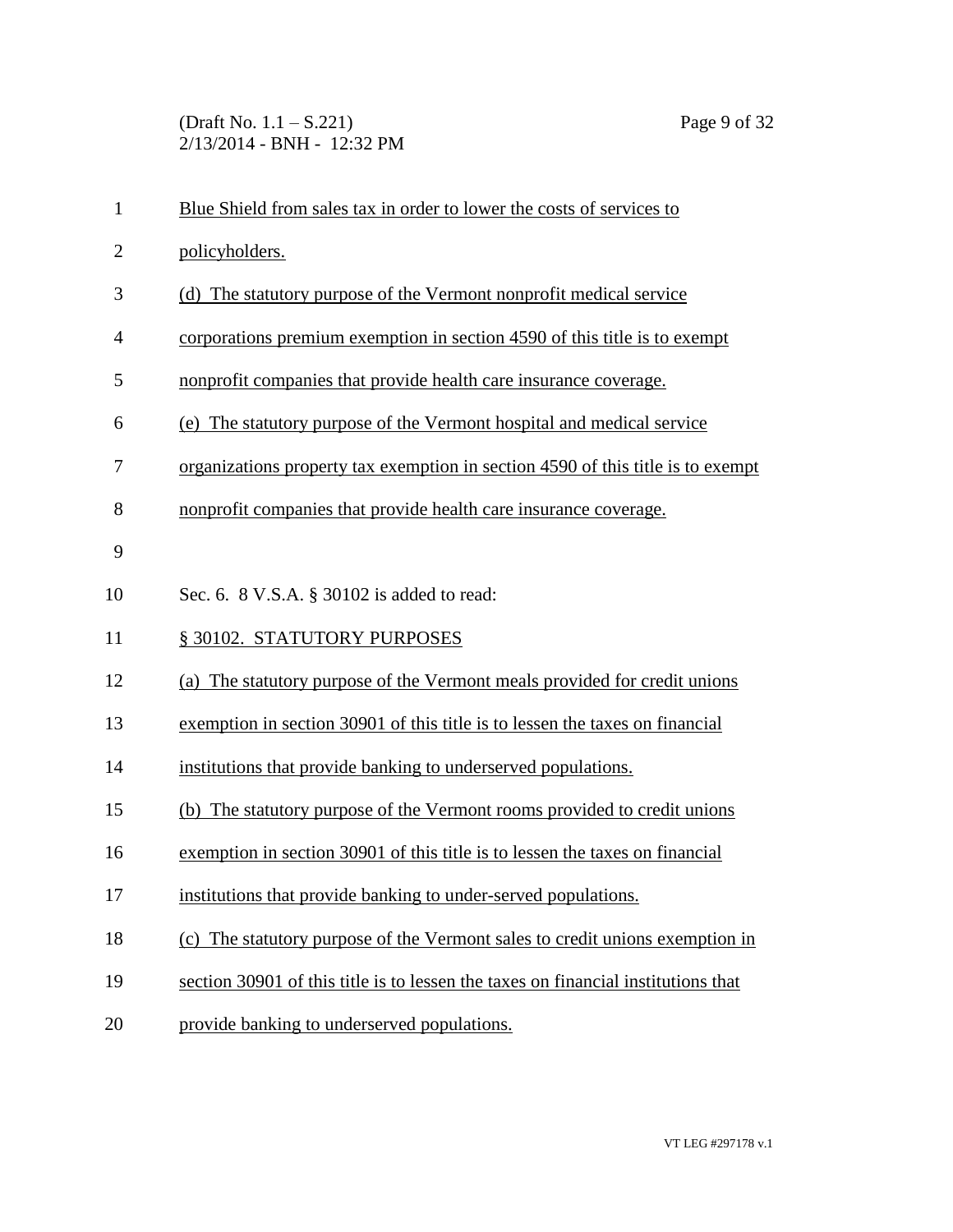(Draft No. 1.1 – S.221) Page 9 of 32 2/13/2014 - BNH - 12:32 PM

| $\mathbf{1}$   | Blue Shield from sales tax in order to lower the costs of services to             |
|----------------|-----------------------------------------------------------------------------------|
| $\overline{2}$ | policyholders.                                                                    |
| 3              | (d) The statutory purpose of the Vermont nonprofit medical service                |
| $\overline{4}$ | corporations premium exemption in section 4590 of this title is to exempt         |
| 5              | nonprofit companies that provide health care insurance coverage.                  |
| 6              | (e) The statutory purpose of the Vermont hospital and medical service             |
| 7              | organizations property tax exemption in section 4590 of this title is to exempt   |
| 8              | nonprofit companies that provide health care insurance coverage.                  |
| 9              |                                                                                   |
| 10             | Sec. 6. 8 V.S.A. § 30102 is added to read:                                        |
|                |                                                                                   |
| 11             | § 30102. STATUTORY PURPOSES                                                       |
| 12             | (a) The statutory purpose of the Vermont meals provided for credit unions         |
| 13             | exemption in section 30901 of this title is to lessen the taxes on financial      |
| 14             | institutions that provide banking to underserved populations.                     |
| 15             | (b) The statutory purpose of the Vermont rooms provided to credit unions          |
| 16             | exemption in section 30901 of this title is to lessen the taxes on financial      |
| 17             | institutions that provide banking to under-served populations.                    |
| 18             | (c) The statutory purpose of the Vermont sales to credit unions exemption in      |
| 19             | section 30901 of this title is to lessen the taxes on financial institutions that |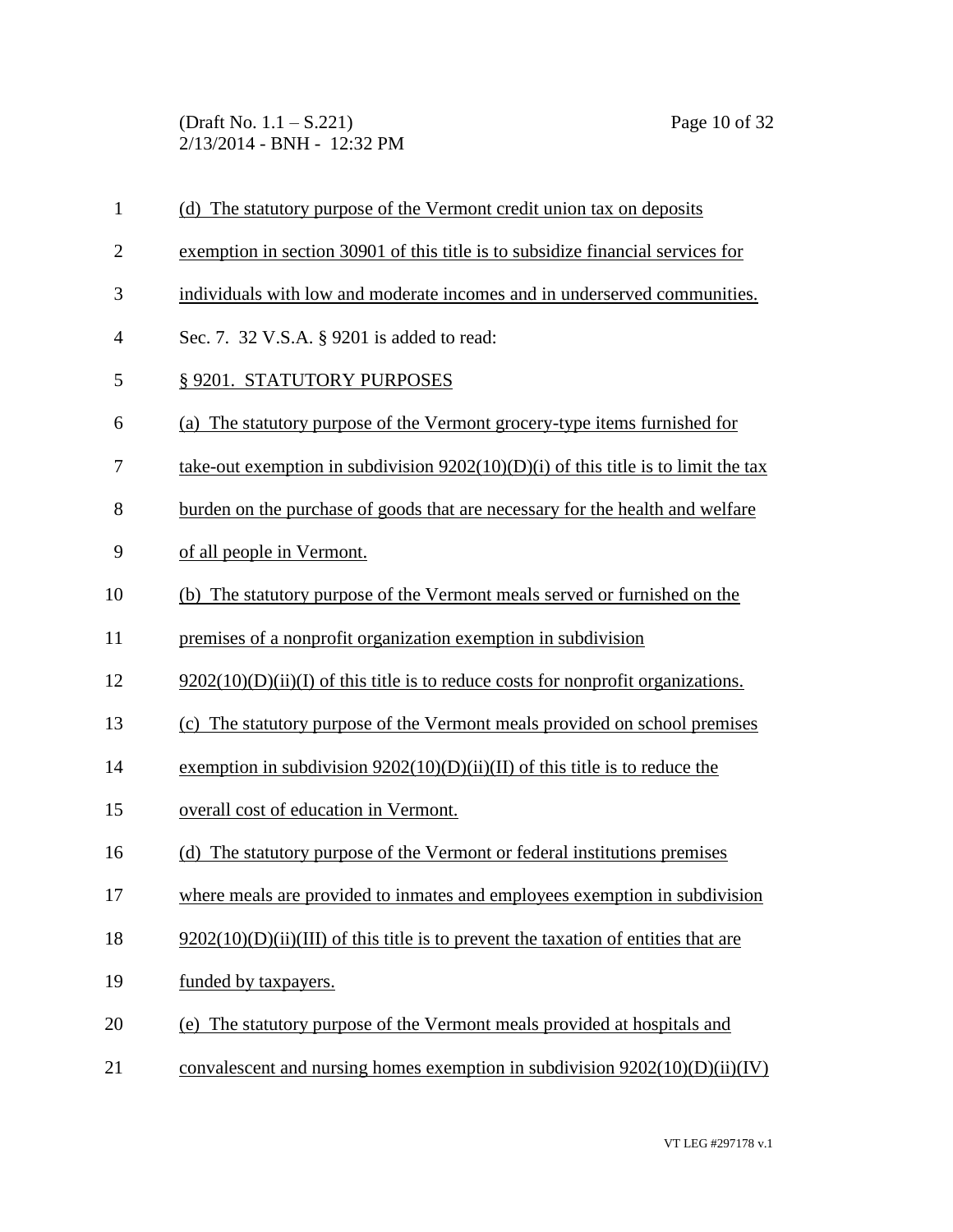(Draft No. 1.1 – S.221) Page 10 of 32 2/13/2014 - BNH - 12:32 PM

| 1              | (d) The statutory purpose of the Vermont credit union tax on deposits                |
|----------------|--------------------------------------------------------------------------------------|
| $\mathbf{2}$   | exemption in section 30901 of this title is to subsidize financial services for      |
| 3              | individuals with low and moderate incomes and in underserved communities.            |
| $\overline{4}$ | Sec. 7. 32 V.S.A. § 9201 is added to read:                                           |
| 5              | § 9201. STATUTORY PURPOSES                                                           |
| 6              | (a) The statutory purpose of the Vermont grocery-type items furnished for            |
| 7              | take-out exemption in subdivision $9202(10)(D)(i)$ of this title is to limit the tax |
| 8              | burden on the purchase of goods that are necessary for the health and welfare        |
| 9              | of all people in Vermont.                                                            |
| 10             | (b) The statutory purpose of the Vermont meals served or furnished on the            |
| 11             | premises of a nonprofit organization exemption in subdivision                        |
| 12             | $9202(10)(D)(ii)(I)$ of this title is to reduce costs for nonprofit organizations.   |
| 13             | (c) The statutory purpose of the Vermont meals provided on school premises           |
| 14             | exemption in subdivision $9202(10)(D)(ii)(II)$ of this title is to reduce the        |
| 15             | overall cost of education in Vermont.                                                |
| 16             | (d) The statutory purpose of the Vermont or federal institutions premises            |
| 17             | where meals are provided to inmates and employees exemption in subdivision           |
| 18             | $9202(10)(D)(ii)(III)$ of this title is to prevent the taxation of entities that are |
| 19             | funded by taxpayers.                                                                 |
| 20             | (e) The statutory purpose of the Vermont meals provided at hospitals and             |
| 21             | convalescent and nursing homes exemption in subdivision $9202(10)(D)(ii)(IV)$        |
|                |                                                                                      |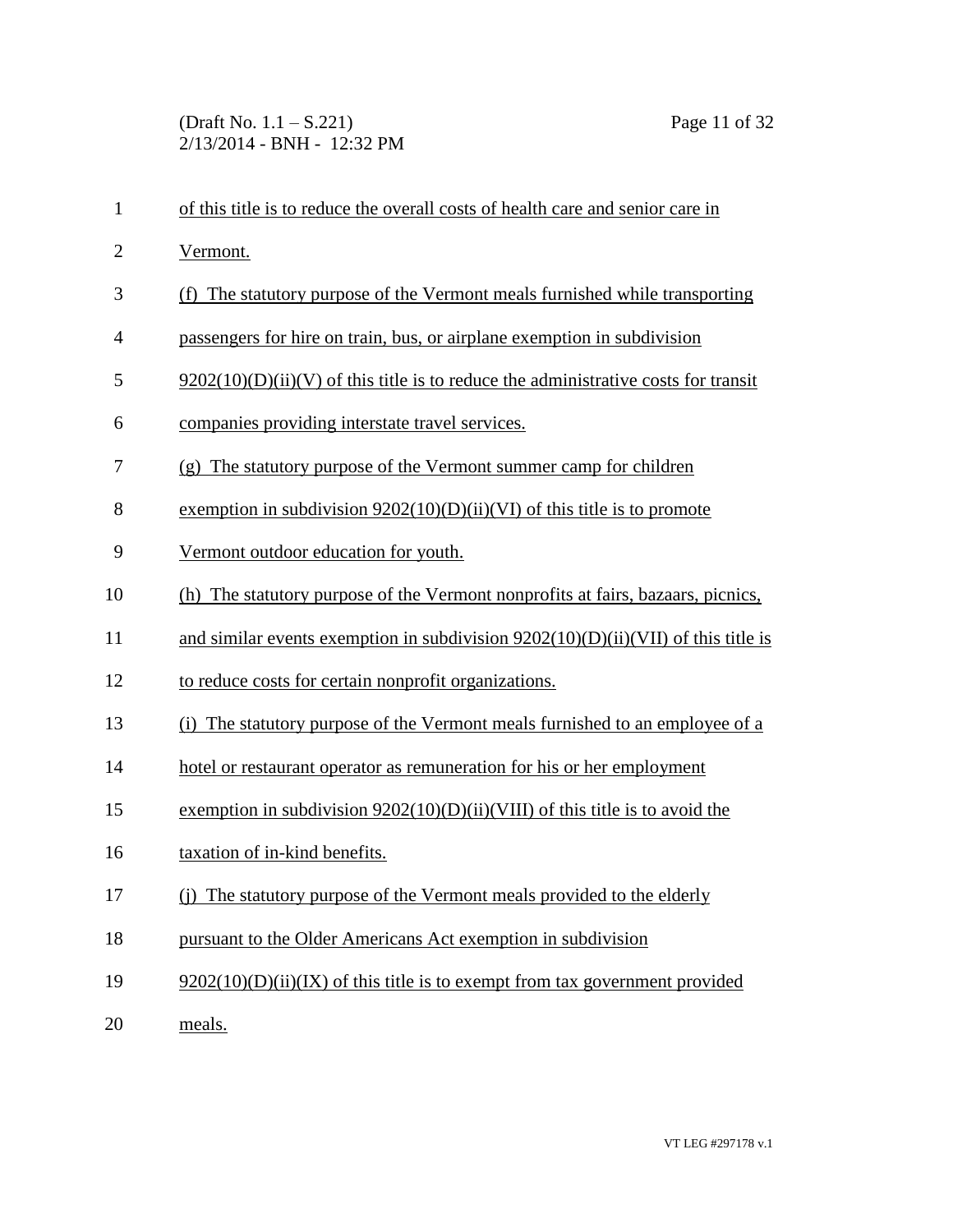(Draft No. 1.1 – S.221) Page 11 of 32 2/13/2014 - BNH - 12:32 PM

 Vermont. (f) The statutory purpose of the Vermont meals furnished while transporting passengers for hire on train, bus, or airplane exemption in subdivision 5 9202(10)(D)(ii)(V) of this title is to reduce the administrative costs for transit companies providing interstate travel services. (g) The statutory purpose of the Vermont summer camp for children exemption in subdivision 9202(10)(D)(ii)(VI) of this title is to promote Vermont outdoor education for youth. (h) The statutory purpose of the Vermont nonprofits at fairs, bazaars, picnics, and similar events exemption in subdivision 9202(10)(D)(ii)(VII) of this title is to reduce costs for certain nonprofit organizations. (i) The statutory purpose of the Vermont meals furnished to an employee of a hotel or restaurant operator as remuneration for his or her employment exemption in subdivision 9202(10)(D)(ii)(VIII) of this title is to avoid the

of this title is to reduce the overall costs of health care and senior care in

- taxation of in-kind benefits.
- (j) The statutory purpose of the Vermont meals provided to the elderly
- pursuant to the Older Americans Act exemption in subdivision
- 19 9202(10)(D)(ii)(IX) of this title is to exempt from tax government provided
- meals.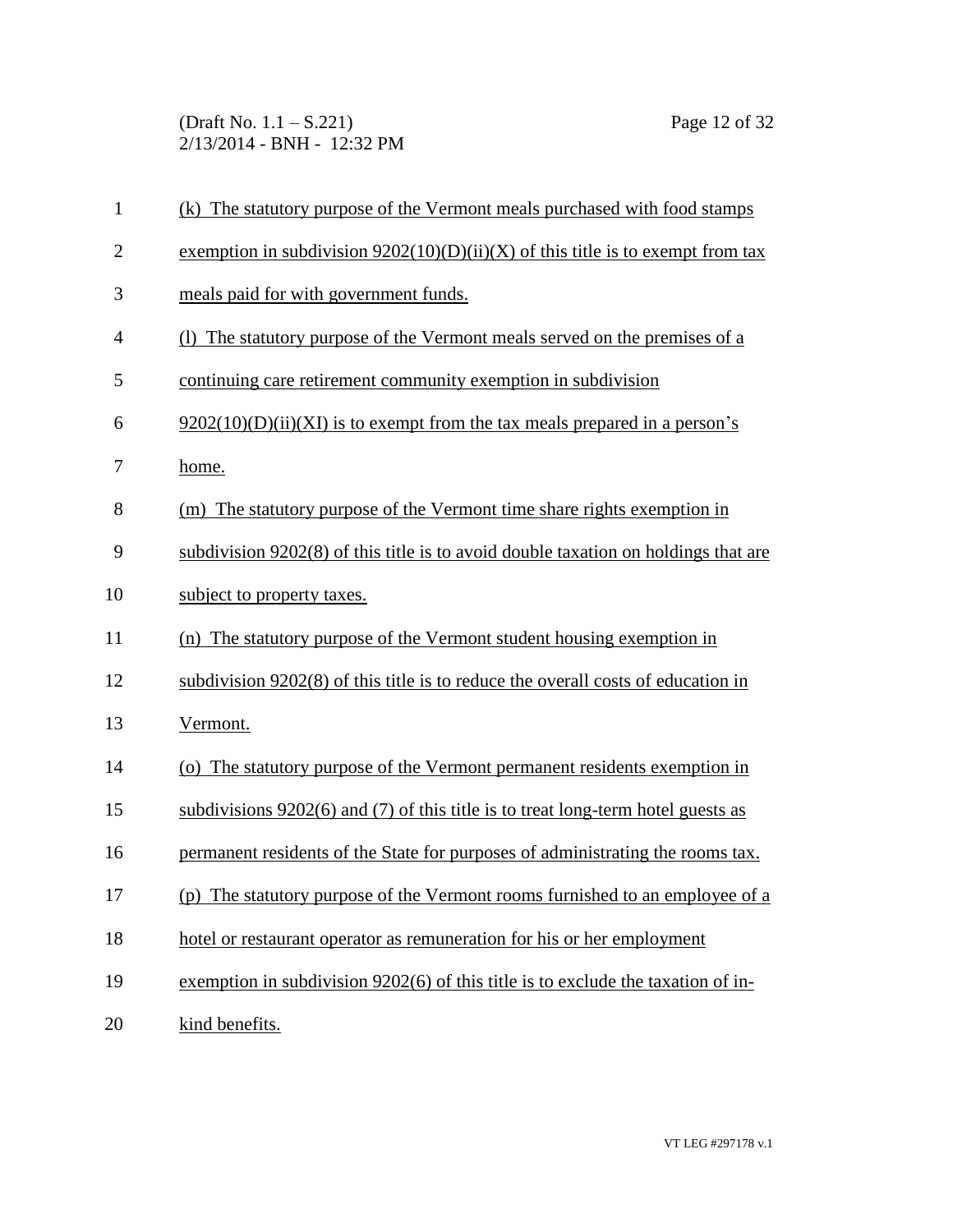(Draft No. 1.1 – S.221) Page 12 of 32 2/13/2014 - BNH - 12:32 PM

| $\mathbf{1}$   | (k) The statutory purpose of the Vermont meals purchased with food stamps          |
|----------------|------------------------------------------------------------------------------------|
| $\overline{2}$ | exemption in subdivision $9202(10)(D)(ii)(X)$ of this title is to exempt from tax  |
| 3              | meals paid for with government funds.                                              |
| $\overline{4}$ | (1) The statutory purpose of the Vermont meals served on the premises of a         |
| 5              | continuing care retirement community exemption in subdivision                      |
| 6              | $9202(10)(D)(ii)(XI)$ is to exempt from the tax meals prepared in a person's       |
| 7              | home.                                                                              |
| 8              | (m) The statutory purpose of the Vermont time share rights exemption in            |
| 9              | subdivision 9202(8) of this title is to avoid double taxation on holdings that are |
| 10             | subject to property taxes.                                                         |
| 11             | (n) The statutory purpose of the Vermont student housing exemption in              |
| 12             | subdivision 9202(8) of this title is to reduce the overall costs of education in   |
| 13             | Vermont.                                                                           |
| 14             | (o) The statutory purpose of the Vermont permanent residents exemption in          |
| 15             | subdivisions $9202(6)$ and (7) of this title is to treat long-term hotel guests as |
| 16             | permanent residents of the State for purposes of administrating the rooms tax.     |
| 17             | (p) The statutory purpose of the Vermont rooms furnished to an employee of a       |
| 18             | hotel or restaurant operator as remuneration for his or her employment             |
| 19             | exemption in subdivision 9202(6) of this title is to exclude the taxation of in-   |
| 20             | kind benefits.                                                                     |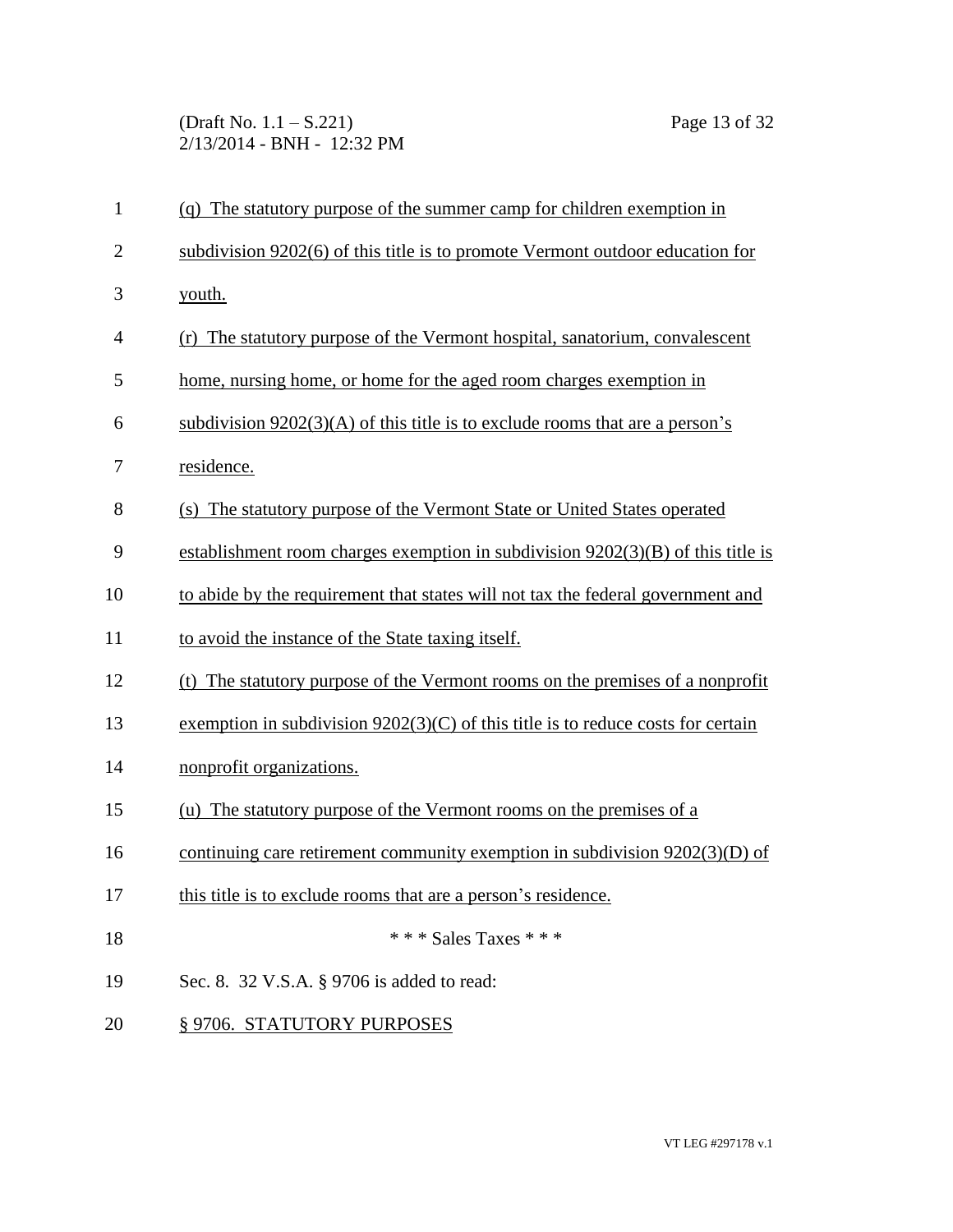(Draft No. 1.1 – S.221) Page 13 of 32 2/13/2014 - BNH - 12:32 PM

| $\mathbf{1}$   | (q) The statutory purpose of the summer camp for children exemption in             |
|----------------|------------------------------------------------------------------------------------|
| $\overline{2}$ | subdivision 9202(6) of this title is to promote Vermont outdoor education for      |
| 3              | youth.                                                                             |
| $\overline{4}$ | (r) The statutory purpose of the Vermont hospital, sanatorium, convalescent        |
| 5              | home, nursing home, or home for the aged room charges exemption in                 |
| 6              | subdivision $9202(3)(A)$ of this title is to exclude rooms that are a person's     |
| 7              | residence.                                                                         |
| 8              | (s) The statutory purpose of the Vermont State or United States operated           |
| 9              | establishment room charges exemption in subdivision $9202(3)(B)$ of this title is  |
| 10             | to abide by the requirement that states will not tax the federal government and    |
| 11             | to avoid the instance of the State taxing itself.                                  |
| 12             | (t) The statutory purpose of the Vermont rooms on the premises of a nonprofit      |
| 13             | exemption in subdivision $9202(3)(C)$ of this title is to reduce costs for certain |
| 14             | nonprofit organizations.                                                           |
| 15             | (u) The statutory purpose of the Vermont rooms on the premises of a                |
| 16             | continuing care retirement community exemption in subdivision $9202(3)(D)$ of      |
| 17             | this title is to exclude rooms that are a person's residence.                      |
| 18             | *** Sales Taxes ***                                                                |
| 19             | Sec. 8. 32 V.S.A. § 9706 is added to read:                                         |
| 20             | §9706. STATUTORY PURPOSES                                                          |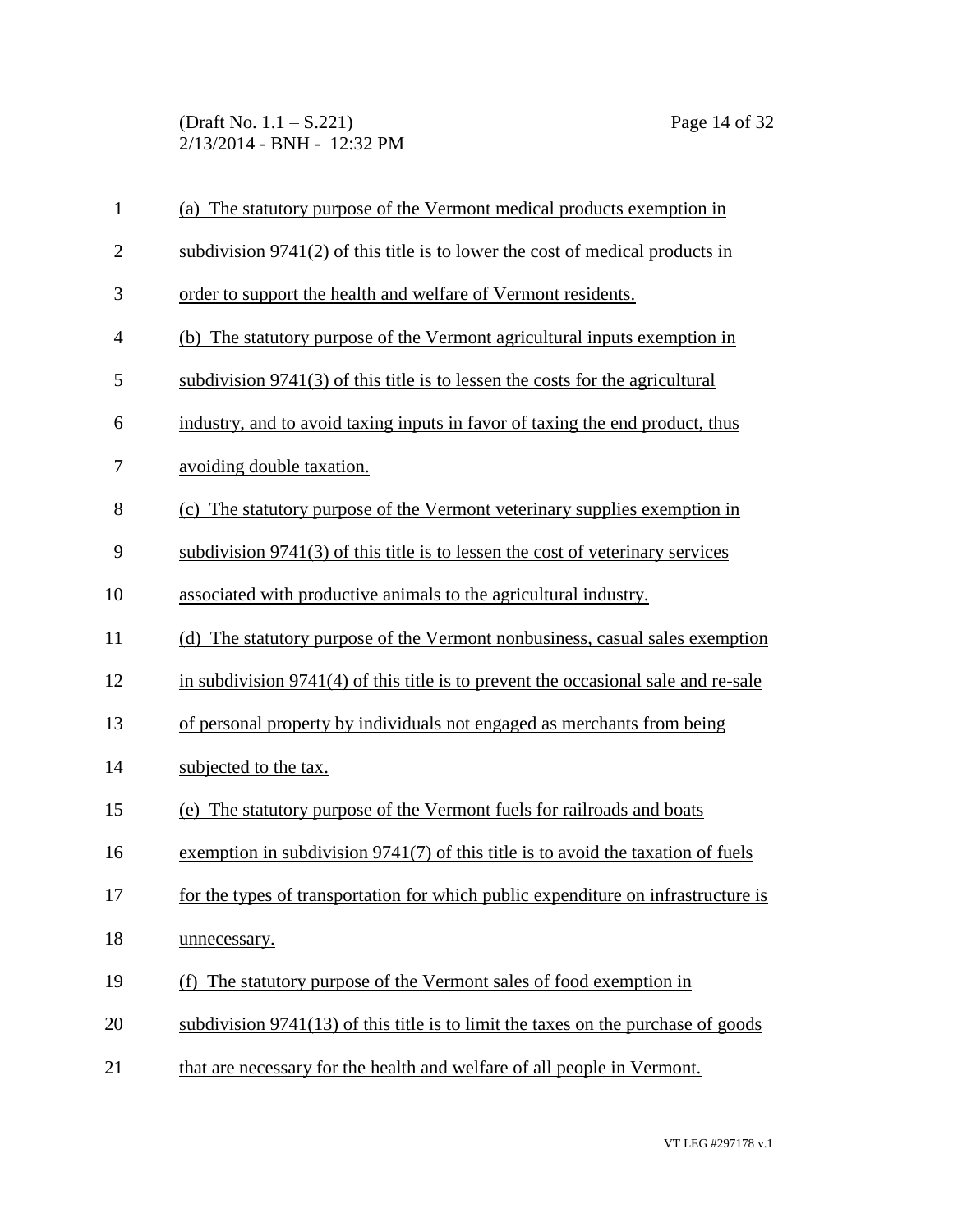(Draft No. 1.1 – S.221) Page 14 of 32 2/13/2014 - BNH - 12:32 PM

| $\mathbf{1}$   | (a) The statutory purpose of the Vermont medical products exemption in              |
|----------------|-------------------------------------------------------------------------------------|
| $\overline{2}$ | subdivision $9741(2)$ of this title is to lower the cost of medical products in     |
| 3              | order to support the health and welfare of Vermont residents.                       |
| $\overline{4}$ | (b) The statutory purpose of the Vermont agricultural inputs exemption in           |
| 5              | subdivision $9741(3)$ of this title is to lessen the costs for the agricultural     |
| 6              | industry, and to avoid taxing inputs in favor of taxing the end product, thus       |
| 7              | avoiding double taxation.                                                           |
| 8              | (c) The statutory purpose of the Vermont veterinary supplies exemption in           |
| 9              | subdivision 9741(3) of this title is to lessen the cost of veterinary services      |
| 10             | associated with productive animals to the agricultural industry.                    |
| 11             | (d) The statutory purpose of the Vermont nonbusiness, casual sales exemption        |
| 12             | in subdivision 9741(4) of this title is to prevent the occasional sale and re-sale  |
| 13             | of personal property by individuals not engaged as merchants from being             |
| 14             | subjected to the tax.                                                               |
| 15             | (e) The statutory purpose of the Vermont fuels for railroads and boats              |
| 16             | exemption in subdivision $9741(7)$ of this title is to avoid the taxation of fuels  |
| 17             | for the types of transportation for which public expenditure on infrastructure is   |
| 18             | unnecessary.                                                                        |
| 19             | (f) The statutory purpose of the Vermont sales of food exemption in                 |
| 20             | subdivision $9741(13)$ of this title is to limit the taxes on the purchase of goods |
| 21             | that are necessary for the health and welfare of all people in Vermont.             |

VT LEG #297178 v.1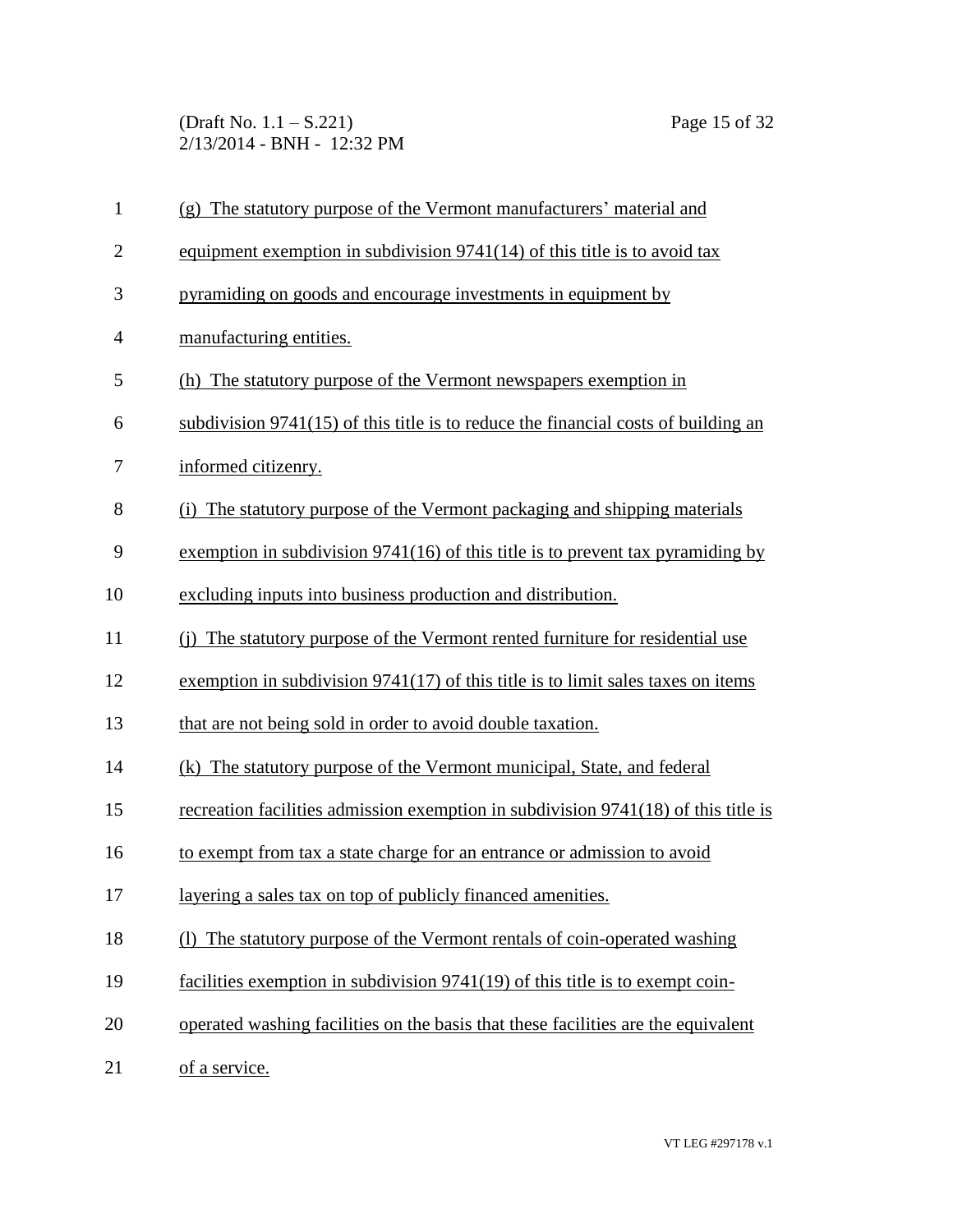(Draft No. 1.1 – S.221) Page 15 of 32 2/13/2014 - BNH - 12:32 PM

| $\mathbf{1}$   | (g) The statutory purpose of the Vermont manufacturers' material and                 |
|----------------|--------------------------------------------------------------------------------------|
| $\overline{2}$ | equipment exemption in subdivision $9741(14)$ of this title is to avoid tax          |
| 3              | pyramiding on goods and encourage investments in equipment by                        |
| $\overline{4}$ | manufacturing entities.                                                              |
| 5              | (h) The statutory purpose of the Vermont newspapers exemption in                     |
| 6              | subdivision $9741(15)$ of this title is to reduce the financial costs of building an |
| 7              | informed citizenry.                                                                  |
| 8              | (i) The statutory purpose of the Vermont packaging and shipping materials            |
| 9              | exemption in subdivision $9741(16)$ of this title is to prevent tax pyramiding by    |
| 10             | excluding inputs into business production and distribution.                          |
| 11             | (i) The statutory purpose of the Vermont rented furniture for residential use        |
| 12             | exemption in subdivision $9741(17)$ of this title is to limit sales taxes on items   |
| 13             | that are not being sold in order to avoid double taxation.                           |
| 14             | (k) The statutory purpose of the Vermont municipal, State, and federal               |
| 15             | recreation facilities admission exemption in subdivision 9741(18) of this title is   |
| 16             | to exempt from tax a state charge for an entrance or admission to avoid              |
| 17             | layering a sales tax on top of publicly financed amenities.                          |
| 18             | (1) The statutory purpose of the Vermont rentals of coin-operated washing            |
| 19             | facilities exemption in subdivision 9741(19) of this title is to exempt coin-        |
| 20             | operated washing facilities on the basis that these facilities are the equivalent    |
| 21             | of a service.                                                                        |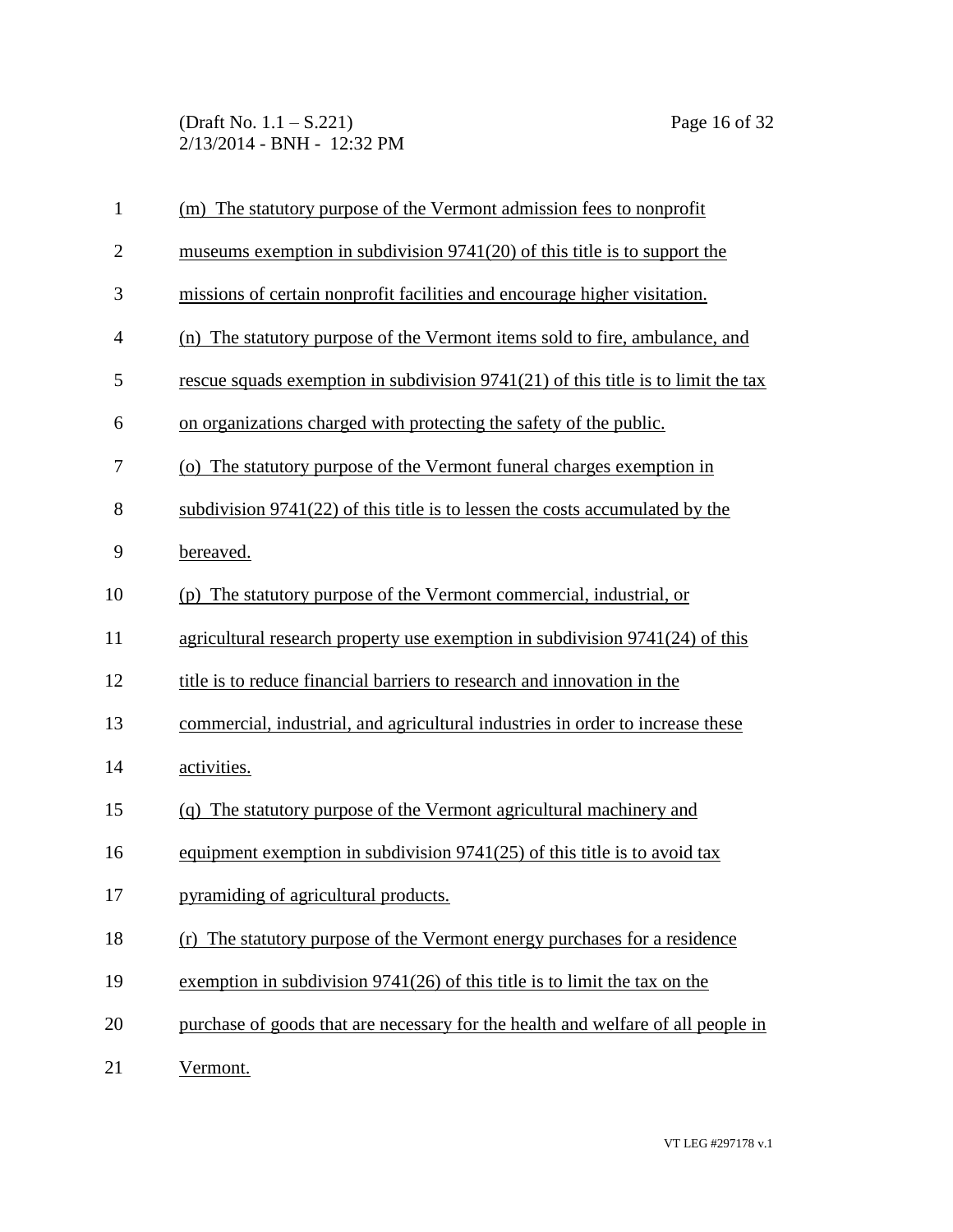(Draft No. 1.1 – S.221) Page 16 of 32 2/13/2014 - BNH - 12:32 PM

| $\mathbf{1}$   | (m) The statutory purpose of the Vermont admission fees to nonprofit                |
|----------------|-------------------------------------------------------------------------------------|
| $\mathbf{2}$   | museums exemption in subdivision $9741(20)$ of this title is to support the         |
| 3              | missions of certain nonprofit facilities and encourage higher visitation.           |
| $\overline{4}$ | (n) The statutory purpose of the Vermont items sold to fire, ambulance, and         |
| 5              | rescue squads exemption in subdivision $9741(21)$ of this title is to limit the tax |
| 6              | on organizations charged with protecting the safety of the public.                  |
| 7              | (o) The statutory purpose of the Vermont funeral charges exemption in               |
| 8              | subdivision 9741(22) of this title is to lessen the costs accumulated by the        |
| 9              | bereaved.                                                                           |
| 10             | (p) The statutory purpose of the Vermont commercial, industrial, or                 |
| 11             | agricultural research property use exemption in subdivision 9741(24) of this        |
| 12             | title is to reduce financial barriers to research and innovation in the             |
| 13             | commercial, industrial, and agricultural industries in order to increase these      |
| 14             | activities.                                                                         |
| 15             | (q) The statutory purpose of the Vermont agricultural machinery and                 |
| 16             | equipment exemption in subdivision $9741(25)$ of this title is to avoid tax         |
| 17             | pyramiding of agricultural products.                                                |
| 18             | The statutory purpose of the Vermont energy purchases for a residence<br>(r)        |
| 19             | exemption in subdivision $9741(26)$ of this title is to limit the tax on the        |
| 20             | purchase of goods that are necessary for the health and welfare of all people in    |
| 21             | Vermont.                                                                            |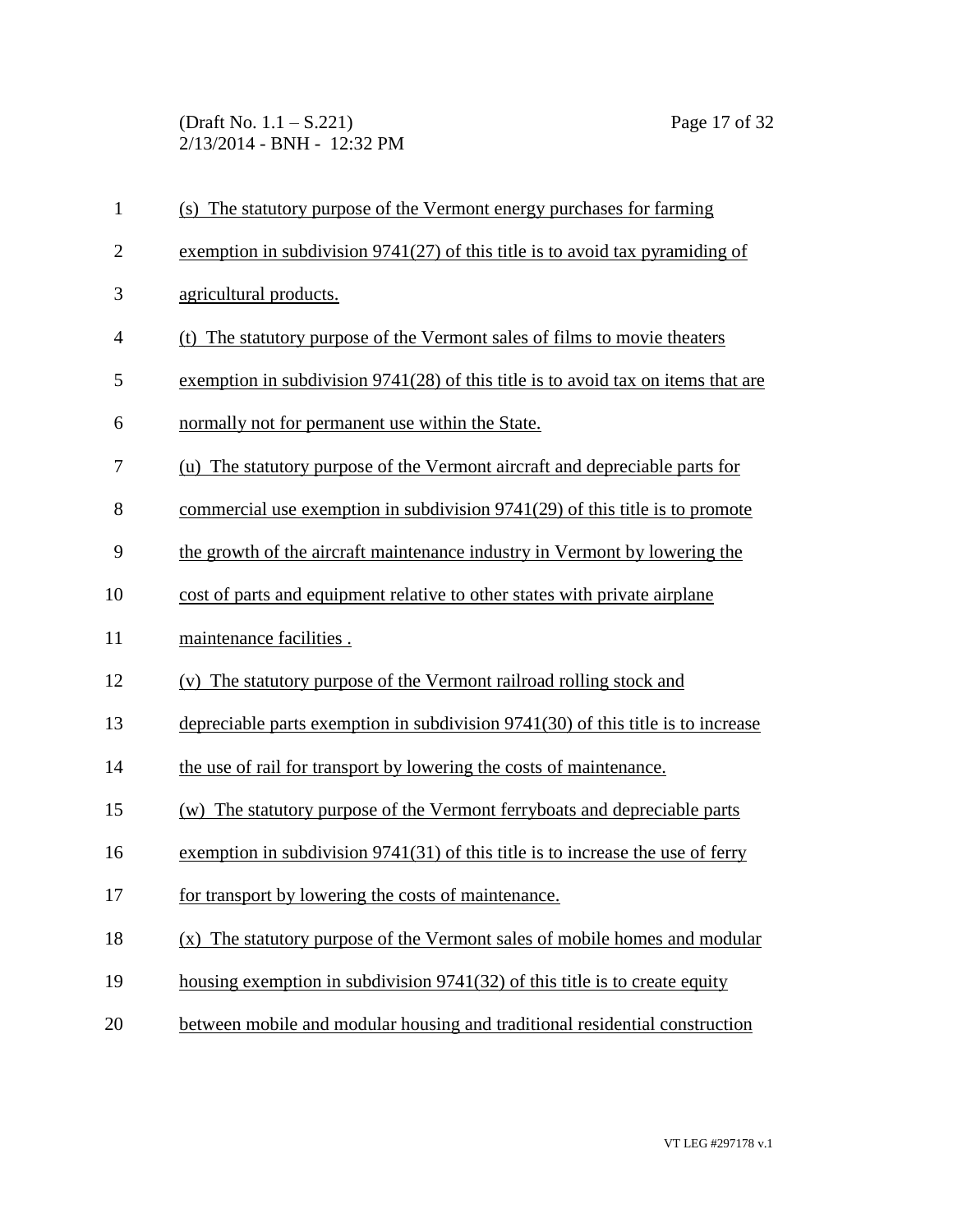(Draft No. 1.1 – S.221) Page 17 of 32 2/13/2014 - BNH - 12:32 PM

| $\mathbf{1}$   | (s) The statutory purpose of the Vermont energy purchases for farming             |
|----------------|-----------------------------------------------------------------------------------|
| $\overline{2}$ | exemption in subdivision $9741(27)$ of this title is to avoid tax pyramiding of   |
| 3              | agricultural products.                                                            |
| $\overline{4}$ | (t) The statutory purpose of the Vermont sales of films to movie theaters         |
| 5              | exemption in subdivision 9741(28) of this title is to avoid tax on items that are |
| 6              | normally not for permanent use within the State.                                  |
| 7              | (u) The statutory purpose of the Vermont aircraft and depreciable parts for       |
| 8              | commercial use exemption in subdivision $9741(29)$ of this title is to promote    |
| 9              | the growth of the aircraft maintenance industry in Vermont by lowering the        |
| 10             | cost of parts and equipment relative to other states with private airplane        |
| 11             | maintenance facilities.                                                           |
| 12             | (v) The statutory purpose of the Vermont railroad rolling stock and               |
| 13             | depreciable parts exemption in subdivision 9741(30) of this title is to increase  |
| 14             | the use of rail for transport by lowering the costs of maintenance.               |
| 15             | (w) The statutory purpose of the Vermont ferryboats and depreciable parts         |
| 16             |                                                                                   |
|                | exemption in subdivision $9741(31)$ of this title is to increase the use of ferry |
| 17             | for transport by lowering the costs of maintenance.                               |
| 18             | (x) The statutory purpose of the Vermont sales of mobile homes and modular        |
| 19             | housing exemption in subdivision 9741(32) of this title is to create equity       |
| 20             | between mobile and modular housing and traditional residential construction       |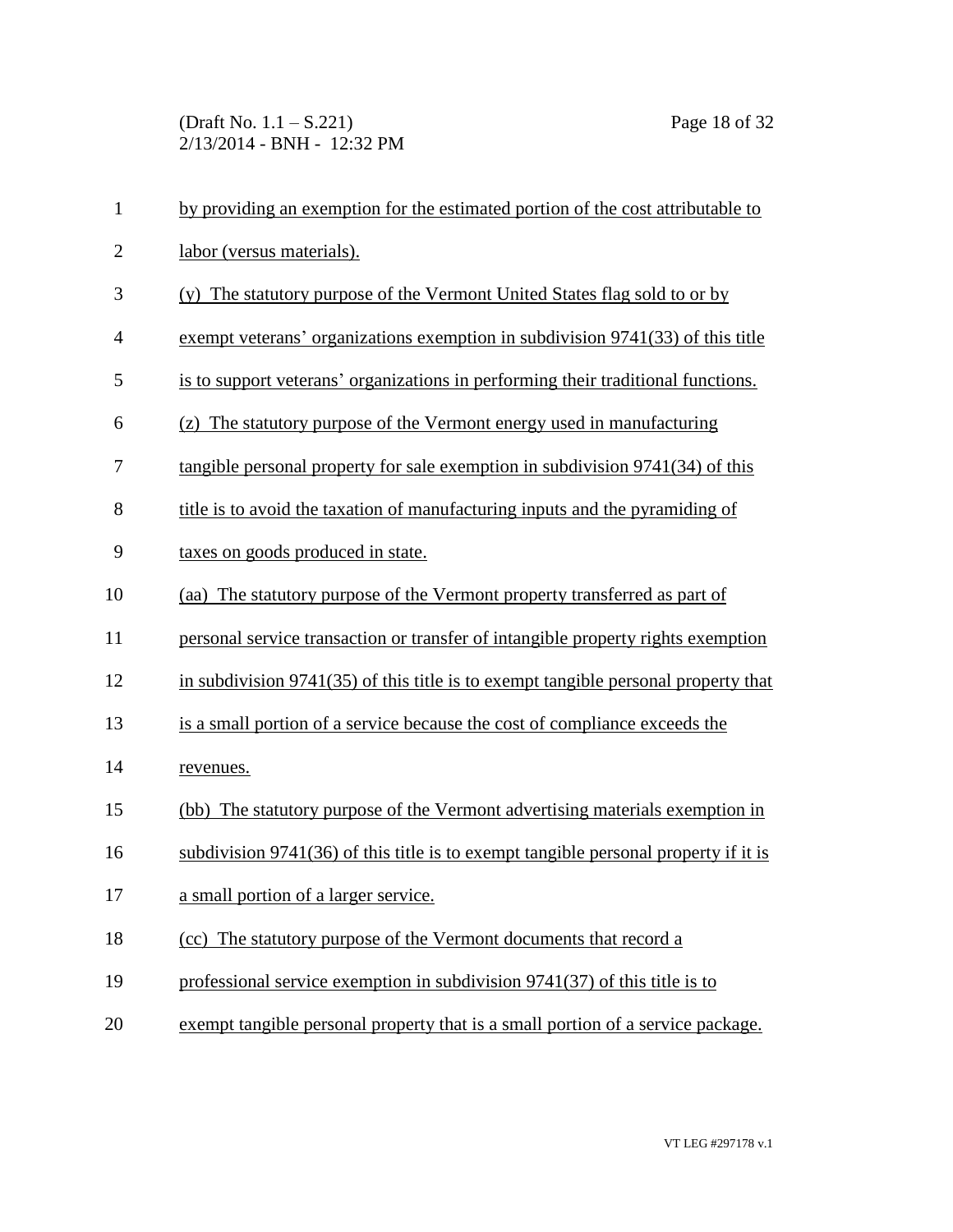(Draft No. 1.1 – S.221) Page 18 of 32 2/13/2014 - BNH - 12:32 PM

| $\mathbf{1}$   | by providing an exemption for the estimated portion of the cost attributable to     |
|----------------|-------------------------------------------------------------------------------------|
| $\overline{2}$ | labor (versus materials).                                                           |
| 3              | (y) The statutory purpose of the Vermont United States flag sold to or by           |
| $\overline{4}$ | exempt veterans' organizations exemption in subdivision 9741(33) of this title      |
| 5              | is to support veterans' organizations in performing their traditional functions.    |
| 6              | (z) The statutory purpose of the Vermont energy used in manufacturing               |
| 7              | tangible personal property for sale exemption in subdivision 9741(34) of this       |
| 8              | title is to avoid the taxation of manufacturing inputs and the pyramiding of        |
| 9              | taxes on goods produced in state.                                                   |
| 10             | (aa) The statutory purpose of the Vermont property transferred as part of           |
| 11             | personal service transaction or transfer of intangible property rights exemption    |
| 12             | in subdivision 9741(35) of this title is to exempt tangible personal property that  |
| 13             | is a small portion of a service because the cost of compliance exceeds the          |
| 14             | revenues.                                                                           |
| 15             | (bb) The statutory purpose of the Vermont advertising materials exemption in        |
| 16             | subdivision 9741(36) of this title is to exempt tangible personal property if it is |
| 17             | a small portion of a larger service.                                                |
| 18             | (cc) The statutory purpose of the Vermont documents that record a                   |
| 19             | professional service exemption in subdivision 9741(37) of this title is to          |
| 20             | exempt tangible personal property that is a small portion of a service package.     |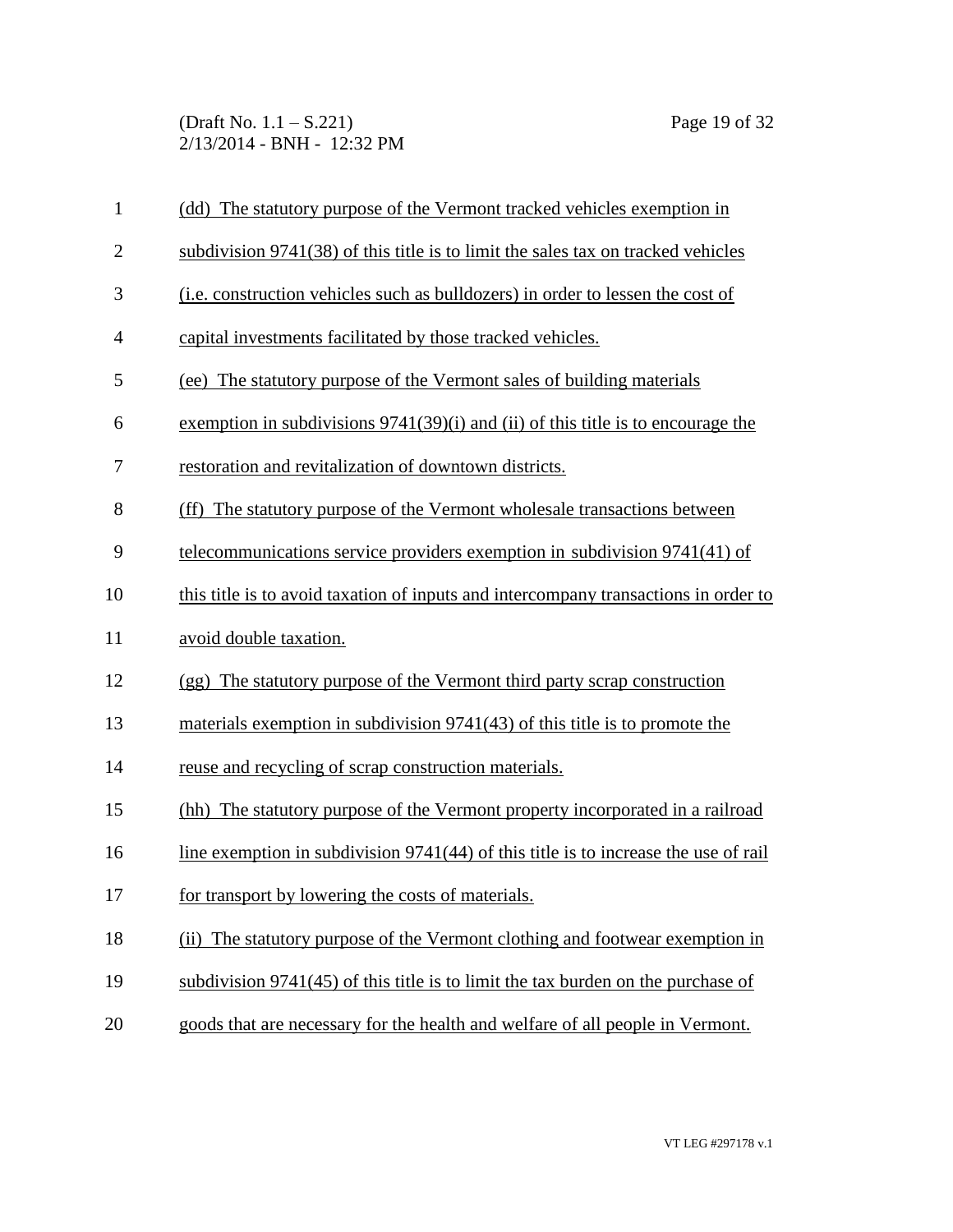(Draft No. 1.1 – S.221) Page 19 of 32 2/13/2014 - BNH - 12:32 PM

| $\mathbf{1}$   | (dd) The statutory purpose of the Vermont tracked vehicles exemption in               |
|----------------|---------------------------------------------------------------------------------------|
| $\overline{c}$ | subdivision 9741(38) of this title is to limit the sales tax on tracked vehicles      |
| 3              | (i.e. construction vehicles such as bulldozers) in order to lessen the cost of        |
| 4              | capital investments facilitated by those tracked vehicles.                            |
| 5              | (ee) The statutory purpose of the Vermont sales of building materials                 |
| 6              | exemption in subdivisions $9741(39)(i)$ and (ii) of this title is to encourage the    |
| 7              | restoration and revitalization of downtown districts.                                 |
| 8              | (ff) The statutory purpose of the Vermont wholesale transactions between              |
| 9              | telecommunications service providers exemption in subdivision 9741(41) of             |
| 10             | this title is to avoid taxation of inputs and intercompany transactions in order to   |
|                |                                                                                       |
| 11             | avoid double taxation.                                                                |
| 12             | (gg) The statutory purpose of the Vermont third party scrap construction              |
| 13             | materials exemption in subdivision 9741(43) of this title is to promote the           |
| 14             | reuse and recycling of scrap construction materials.                                  |
| 15             | (hh) The statutory purpose of the Vermont property incorporated in a railroad         |
| 16             | line exemption in subdivision $9741(44)$ of this title is to increase the use of rail |
| 17             | for transport by lowering the costs of materials.                                     |
| 18             | The statutory purpose of the Vermont clothing and footwear exemption in<br>(ii)       |
| 19             | subdivision 9741(45) of this title is to limit the tax burden on the purchase of      |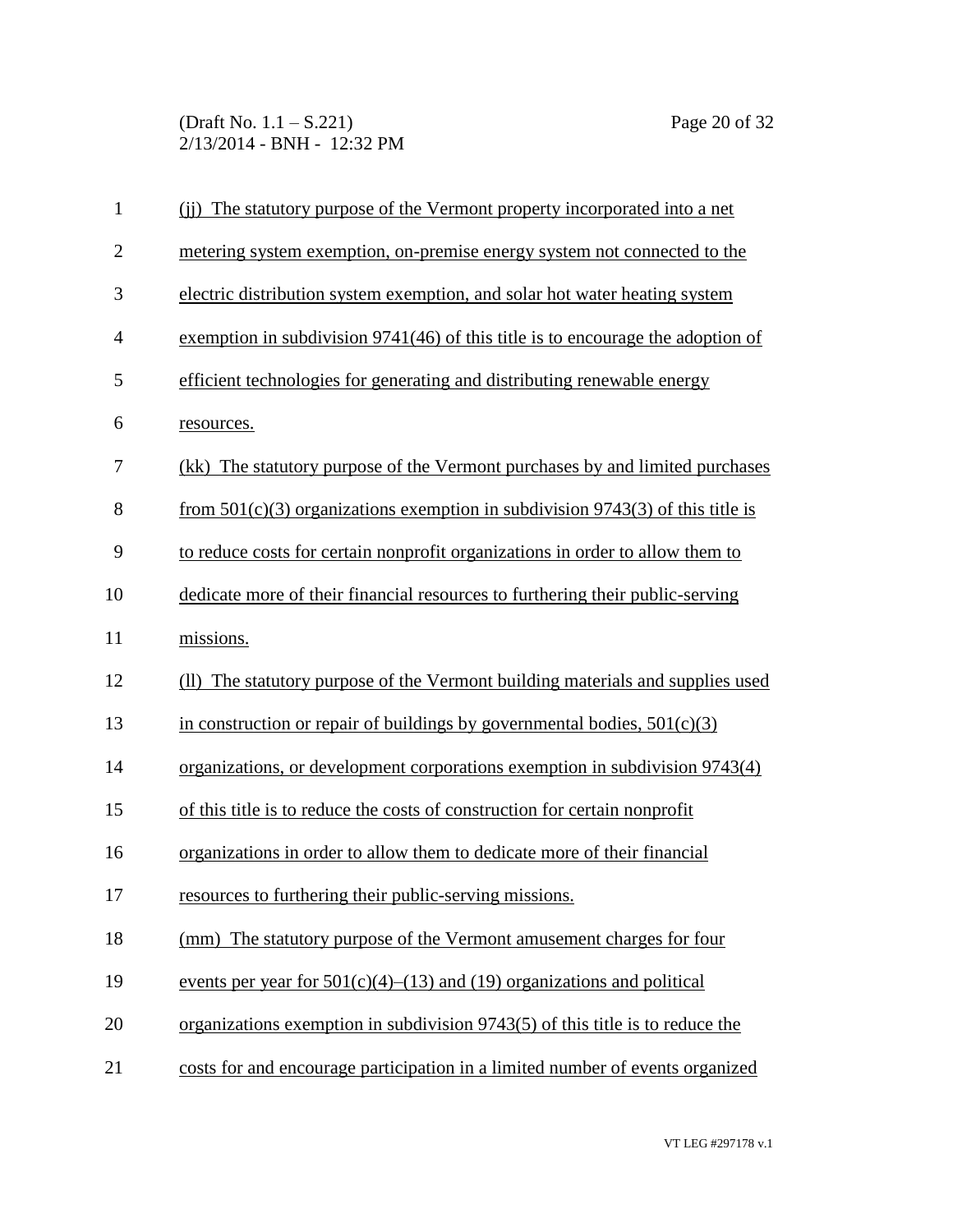(Draft No. 1.1 – S.221) Page 20 of 32 2/13/2014 - BNH - 12:32 PM

| $\mathbf{1}$   | (ii) The statutory purpose of the Vermont property incorporated into a net        |
|----------------|-----------------------------------------------------------------------------------|
| $\overline{2}$ | metering system exemption, on-premise energy system not connected to the          |
| 3              | electric distribution system exemption, and solar hot water heating system        |
| $\overline{4}$ | exemption in subdivision $9741(46)$ of this title is to encourage the adoption of |
| 5              | efficient technologies for generating and distributing renewable energy           |
| 6              | resources.                                                                        |
| 7              | (kk) The statutory purpose of the Vermont purchases by and limited purchases      |
| 8              | from $501(c)(3)$ organizations exemption in subdivision 9743(3) of this title is  |
| 9              | to reduce costs for certain nonprofit organizations in order to allow them to     |
| 10             | dedicate more of their financial resources to furthering their public-serving     |
| 11             | missions.                                                                         |
| 12             | (II) The statutory purpose of the Vermont building materials and supplies used    |
| 13             | in construction or repair of buildings by governmental bodies, $501(c)(3)$        |
| 14             | organizations, or development corporations exemption in subdivision 9743(4)       |
| 15             | of this title is to reduce the costs of construction for certain nonprofit        |
| 16             | organizations in order to allow them to dedicate more of their financial          |
| 17             | resources to furthering their public-serving missions.                            |
| 18             | (mm) The statutory purpose of the Vermont amusement charges for four              |
| 19             | events per year for $501(c)(4)$ – $(13)$ and $(19)$ organizations and political   |
| 20             | organizations exemption in subdivision $9743(5)$ of this title is to reduce the   |
| 21             | costs for and encourage participation in a limited number of events organized     |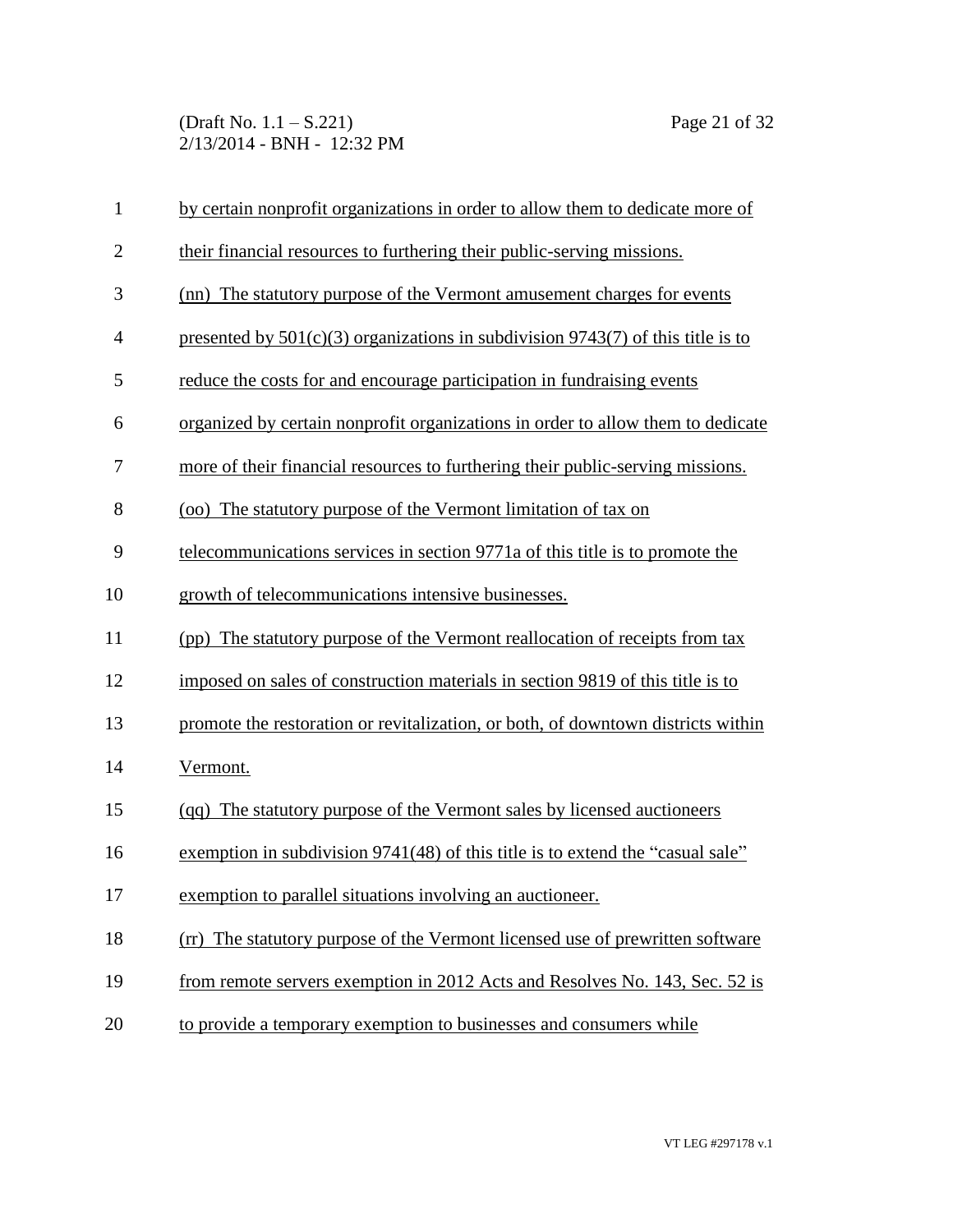(Draft No. 1.1 – S.221) Page 21 of 32 2/13/2014 - BNH - 12:32 PM

| $\mathbf{1}$   | by certain nonprofit organizations in order to allow them to dedicate more of       |
|----------------|-------------------------------------------------------------------------------------|
| $\overline{2}$ | their financial resources to furthering their public-serving missions.              |
| 3              | (nn) The statutory purpose of the Vermont amusement charges for events              |
| $\overline{4}$ | presented by $501(c)(3)$ organizations in subdivision $9743(7)$ of this title is to |
| 5              | reduce the costs for and encourage participation in fundraising events              |
| 6              | organized by certain nonprofit organizations in order to allow them to dedicate     |
| 7              | more of their financial resources to furthering their public-serving missions.      |
| 8              | (oo) The statutory purpose of the Vermont limitation of tax on                      |
| 9              | telecommunications services in section 9771a of this title is to promote the        |
| 10             | growth of telecommunications intensive businesses.                                  |
| 11             | (pp) The statutory purpose of the Vermont reallocation of receipts from tax         |
| 12             | imposed on sales of construction materials in section 9819 of this title is to      |
| 13             | promote the restoration or revitalization, or both, of downtown districts within    |
| 14             | Vermont.                                                                            |
| 15             | (qq) The statutory purpose of the Vermont sales by licensed auctioneers             |
| 16             | exemption in subdivision 9741(48) of this title is to extend the "casual sale"      |
| 17             | exemption to parallel situations involving an auctioneer.                           |
| 18             | (rr) The statutory purpose of the Vermont licensed use of prewritten software       |
| 19             | from remote servers exemption in 2012 Acts and Resolves No. 143, Sec. 52 is         |
| 20             | to provide a temporary exemption to businesses and consumers while                  |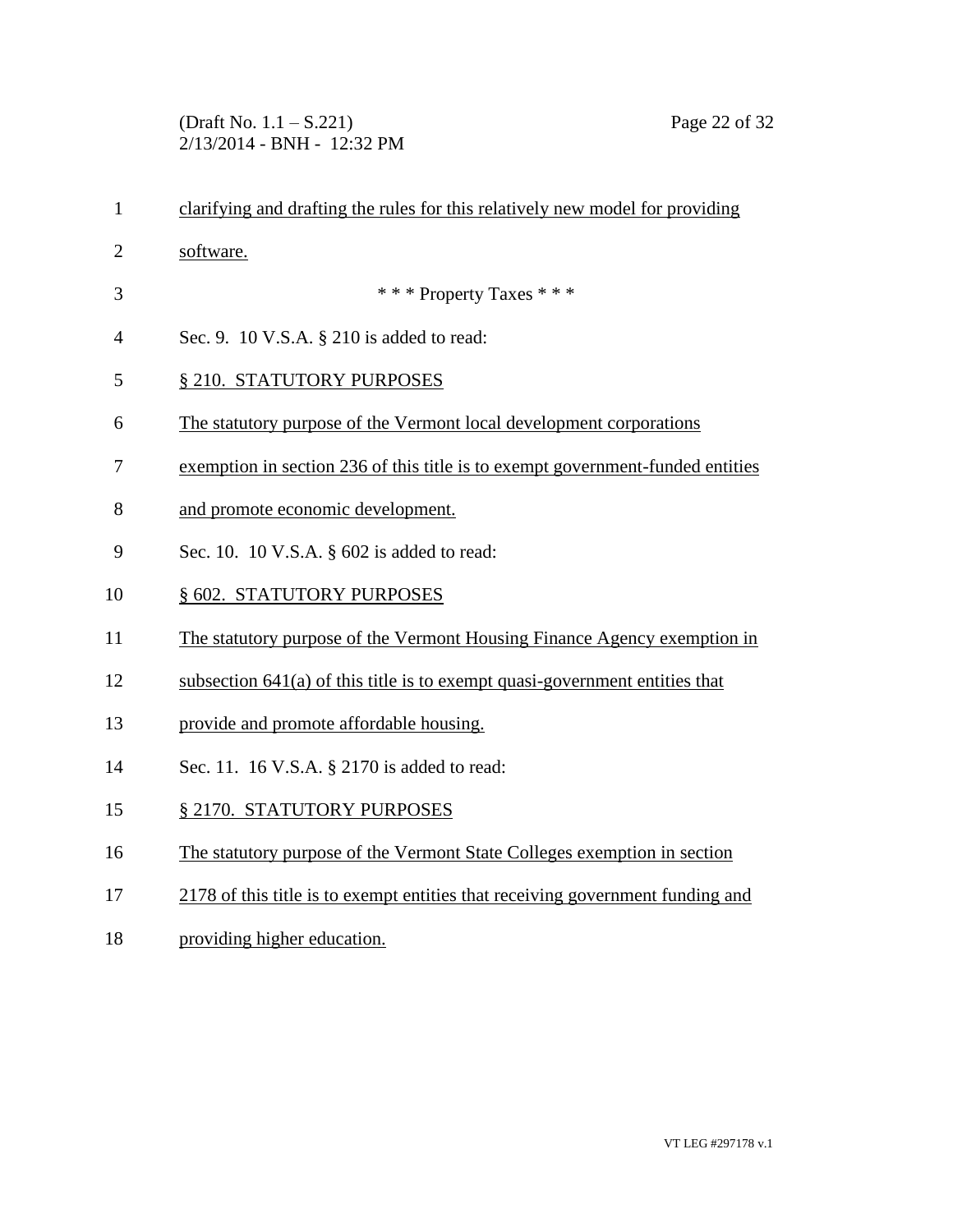(Draft No. 1.1 – S.221) Page 22 of 32 2/13/2014 - BNH - 12:32 PM

| $\mathbf{1}$   | clarifying and drafting the rules for this relatively new model for providing  |
|----------------|--------------------------------------------------------------------------------|
| $\mathbf{2}$   | software.                                                                      |
| 3              | *** Property Taxes ***                                                         |
| $\overline{4}$ | Sec. 9. 10 V.S.A. § 210 is added to read:                                      |
| 5              | § 210. STATUTORY PURPOSES                                                      |
| 6              | The statutory purpose of the Vermont local development corporations            |
| 7              | exemption in section 236 of this title is to exempt government-funded entities |
| 8              | and promote economic development.                                              |
| 9              | Sec. 10. 10 V.S.A. § 602 is added to read:                                     |
| 10             | § 602. STATUTORY PURPOSES                                                      |
| 11             | The statutory purpose of the Vermont Housing Finance Agency exemption in       |
| 12             | subsection $641(a)$ of this title is to exempt quasi-government entities that  |
| 13             | provide and promote affordable housing.                                        |
| 14             | Sec. 11. 16 V.S.A. § 2170 is added to read:                                    |
| 15             | § 2170. STATUTORY PURPOSES                                                     |
| 16             | The statutory purpose of the Vermont State Colleges exemption in section       |
| 17             | 2178 of this title is to exempt entities that receiving government funding and |
| 18             | providing higher education.                                                    |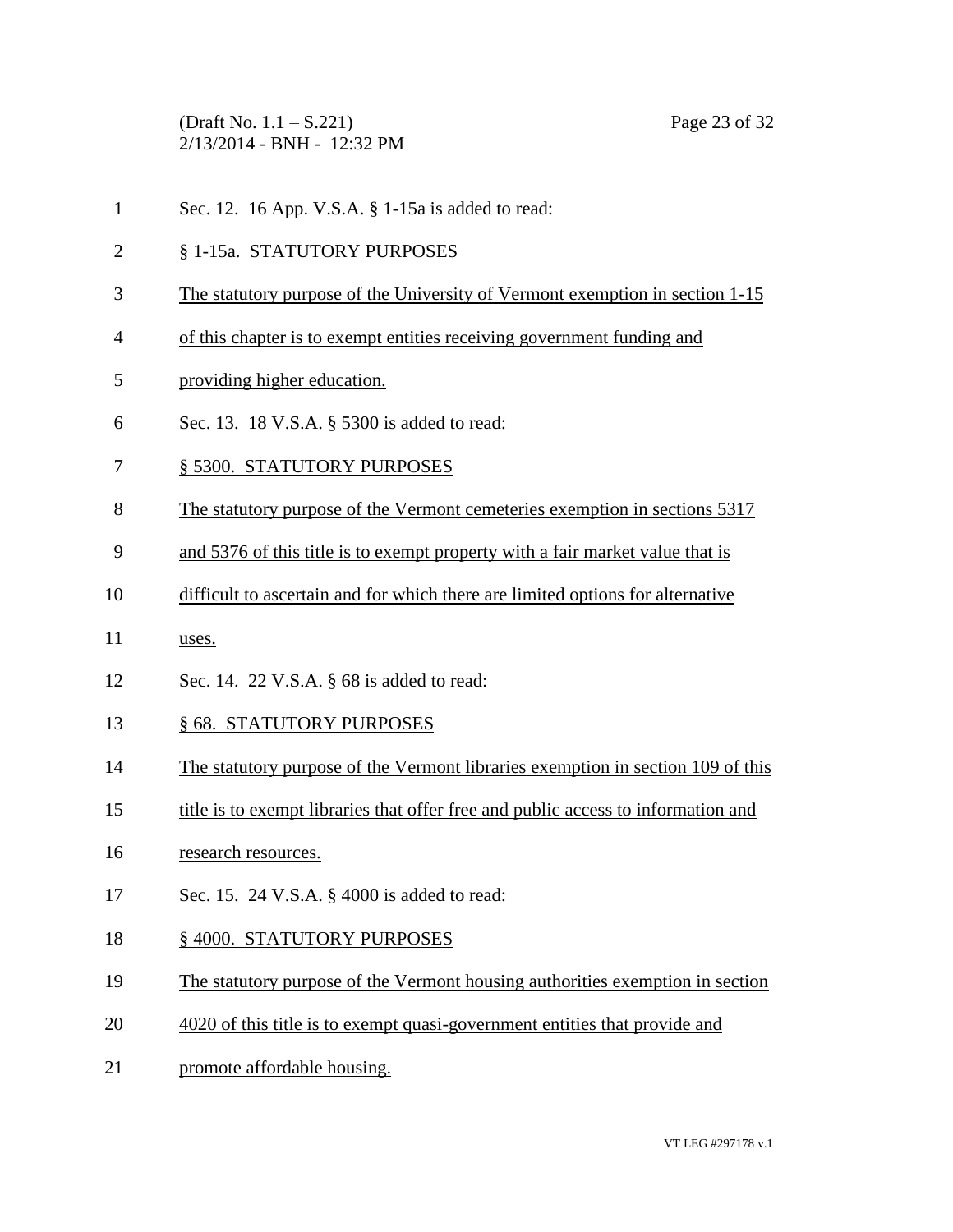(Draft No. 1.1 – S.221) Page 23 of 32 2/13/2014 - BNH - 12:32 PM

- Sec. 12. 16 App. V.S.A. § 1-15a is added to read:
- § 1-15a. STATUTORY PURPOSES
- The statutory purpose of the University of Vermont exemption in section 1-15
- of this chapter is to exempt entities receiving government funding and
- providing higher education.
- Sec. 13. 18 V.S.A. § 5300 is added to read:
- § 5300. STATUTORY PURPOSES
- The statutory purpose of the Vermont cemeteries exemption in sections 5317
- and 5376 of this title is to exempt property with a fair market value that is
- difficult to ascertain and for which there are limited options for alternative
- uses.
- Sec. 14. 22 V.S.A. § 68 is added to read:
- § 68. STATUTORY PURPOSES
- The statutory purpose of the Vermont libraries exemption in section 109 of this
- title is to exempt libraries that offer free and public access to information and
- research resources.
- Sec. 15. 24 V.S.A. § 4000 is added to read:
- 18 § 4000. STATUTORY PURPOSES
- The statutory purpose of the Vermont housing authorities exemption in section
- 4020 of this title is to exempt quasi-government entities that provide and
- promote affordable housing.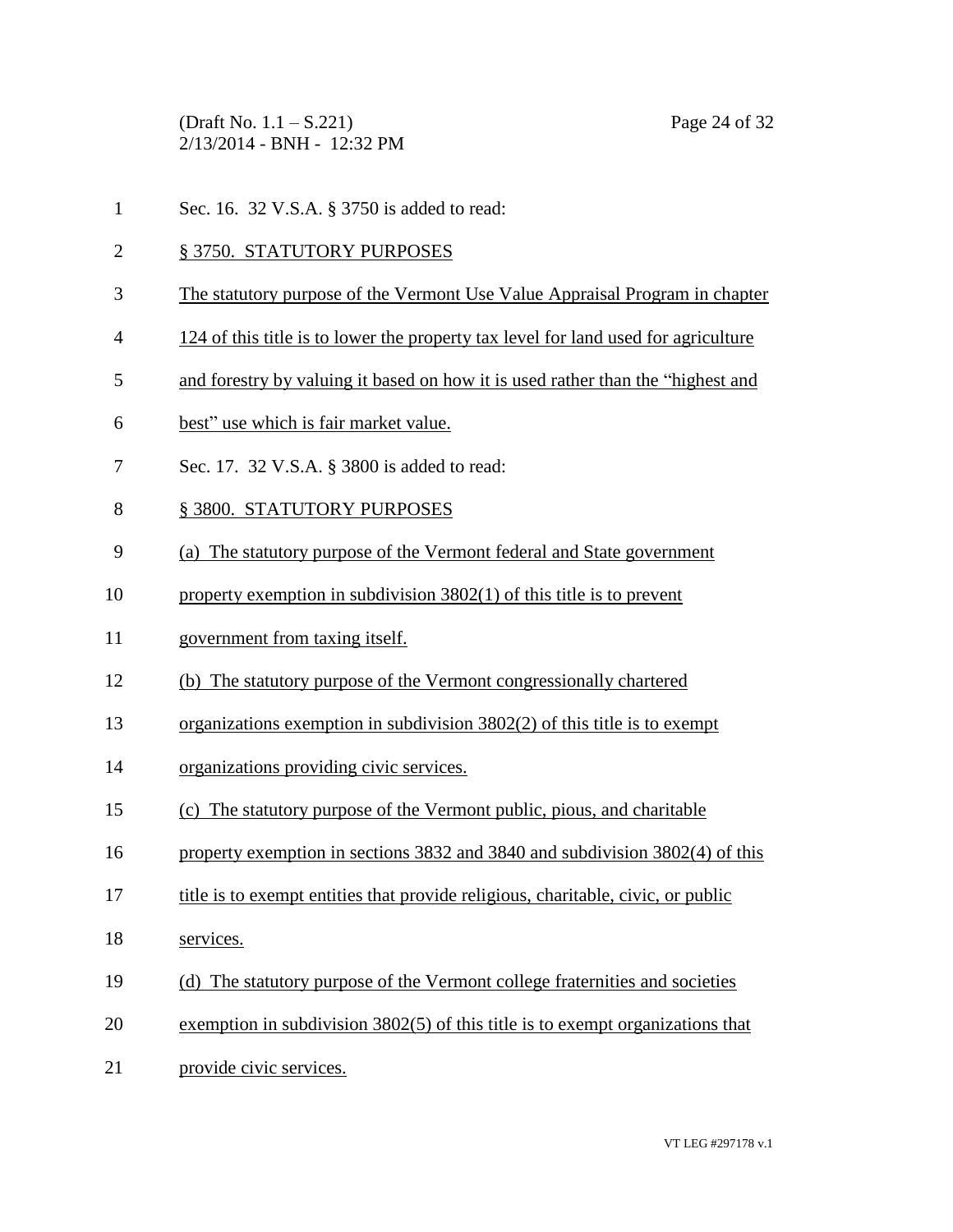(Draft No. 1.1 – S.221) Page 24 of 32 2/13/2014 - BNH - 12:32 PM

- Sec. 16. 32 V.S.A. § 3750 is added to read:
- § 3750. STATUTORY PURPOSES
- The statutory purpose of the Vermont Use Value Appraisal Program in chapter
- 124 of this title is to lower the property tax level for land used for agriculture
- and forestry by valuing it based on how it is used rather than the "highest and
- best" use which is fair market value.
- Sec. 17. 32 V.S.A. § 3800 is added to read:
- § 3800. STATUTORY PURPOSES
- (a) The statutory purpose of the Vermont federal and State government
- property exemption in subdivision 3802(1) of this title is to prevent
- government from taxing itself.
- (b) The statutory purpose of the Vermont congressionally chartered
- organizations exemption in subdivision 3802(2) of this title is to exempt
- organizations providing civic services.
- (c) The statutory purpose of the Vermont public, pious, and charitable
- property exemption in sections 3832 and 3840 and subdivision 3802(4) of this
- title is to exempt entities that provide religious, charitable, civic, or public
- services.
- (d) The statutory purpose of the Vermont college fraternities and societies
- exemption in subdivision 3802(5) of this title is to exempt organizations that
- provide civic services.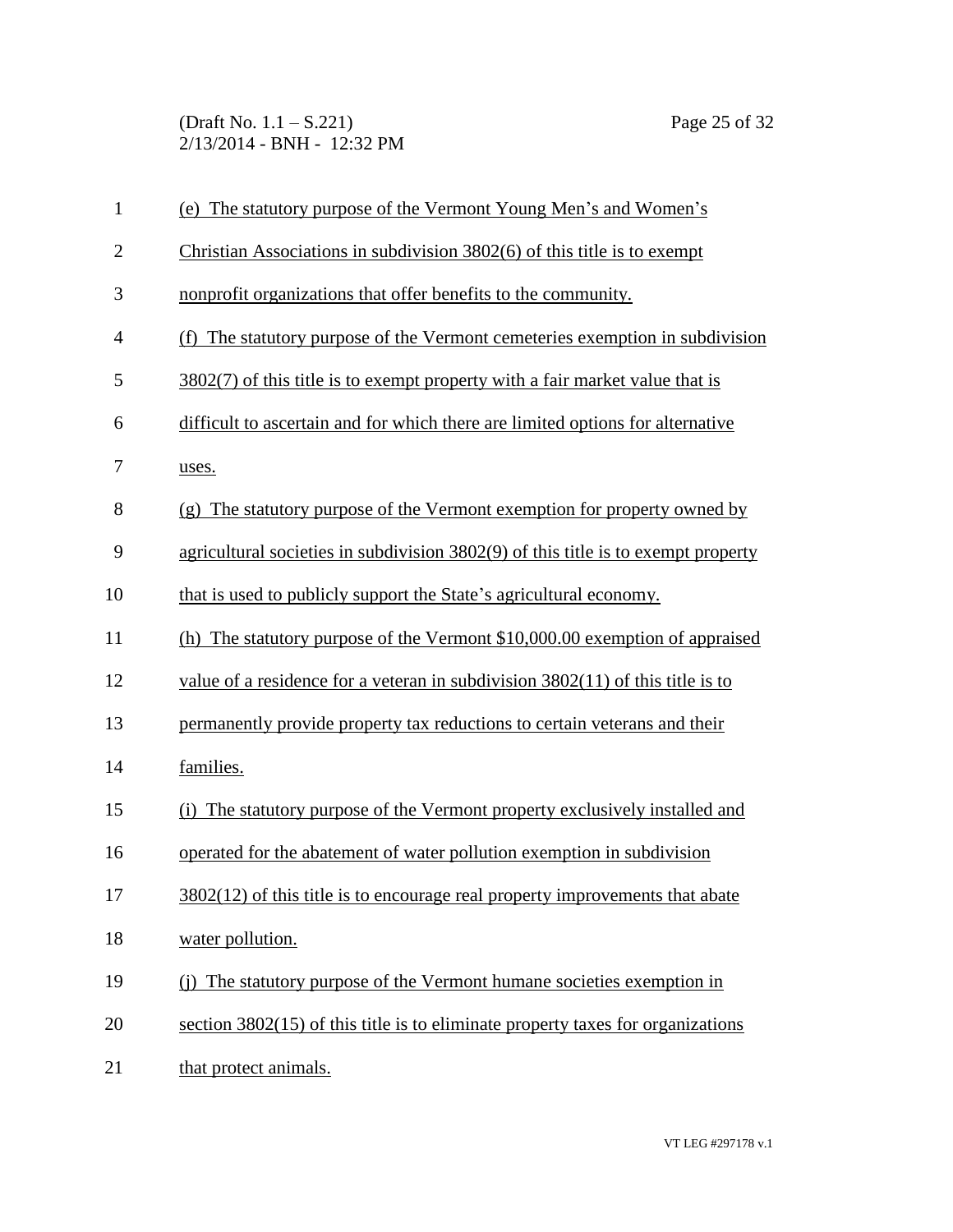(Draft No. 1.1 – S.221) Page 25 of 32 2/13/2014 - BNH - 12:32 PM

| $\mathbf{1}$ | (e) The statutory purpose of the Vermont Young Men's and Women's                  |
|--------------|-----------------------------------------------------------------------------------|
| $\mathbf{2}$ | Christian Associations in subdivision 3802(6) of this title is to exempt          |
| 3            | nonprofit organizations that offer benefits to the community.                     |
| 4            | (f) The statutory purpose of the Vermont cemeteries exemption in subdivision      |
| 5            | $3802(7)$ of this title is to exempt property with a fair market value that is    |
| 6            | difficult to ascertain and for which there are limited options for alternative    |
| 7            | uses.                                                                             |
| 8            | (g) The statutory purpose of the Vermont exemption for property owned by          |
| 9            | agricultural societies in subdivision 3802(9) of this title is to exempt property |
| 10           | that is used to publicly support the State's agricultural economy.                |
| 11           | (h) The statutory purpose of the Vermont $$10,000.00$ exemption of appraised      |
| 12           | value of a residence for a veteran in subdivision $3802(11)$ of this title is to  |
| 13           | permanently provide property tax reductions to certain veterans and their         |
| 14           | families.                                                                         |
| 15           | The statutory purpose of the Vermont property exclusively installed and<br>(i)    |
| 16           | operated for the abatement of water pollution exemption in subdivision            |
| 17           | 3802(12) of this title is to encourage real property improvements that abate      |
| 18           | water pollution.                                                                  |
| 19           | (i) The statutory purpose of the Vermont humane societies exemption in            |
| 20           | section $3802(15)$ of this title is to eliminate property taxes for organizations |
| 21           | that protect animals.                                                             |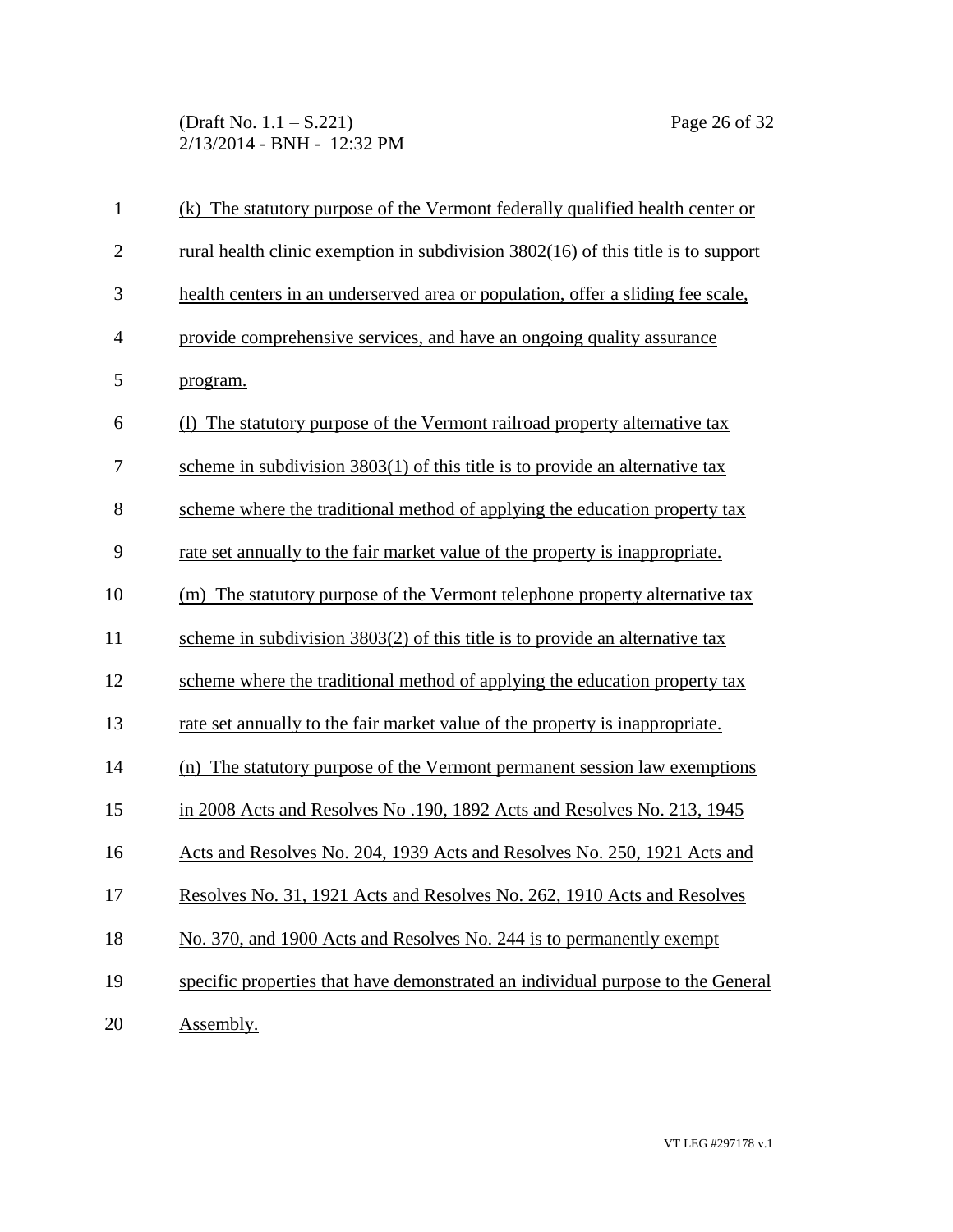(Draft No. 1.1 – S.221) Page 26 of 32 2/13/2014 - BNH - 12:32 PM

| $\mathbf{1}$   | (k) The statutory purpose of the Vermont federally qualified health center or     |
|----------------|-----------------------------------------------------------------------------------|
| $\mathbf{2}$   | rural health clinic exemption in subdivision 3802(16) of this title is to support |
| 3              | health centers in an underserved area or population, offer a sliding fee scale,   |
| $\overline{4}$ | provide comprehensive services, and have an ongoing quality assurance             |
| 5              | program.                                                                          |
| 6              | The statutory purpose of the Vermont railroad property alternative tax            |
| 7              | scheme in subdivision $3803(1)$ of this title is to provide an alternative tax    |
| 8              | scheme where the traditional method of applying the education property tax        |
| 9              | rate set annually to the fair market value of the property is inappropriate.      |
| 10             | (m) The statutory purpose of the Vermont telephone property alternative tax       |
| 11             | scheme in subdivision $3803(2)$ of this title is to provide an alternative tax    |
| 12             | scheme where the traditional method of applying the education property tax        |
| 13             | rate set annually to the fair market value of the property is inappropriate.      |
| 14             | (n) The statutory purpose of the Vermont permanent session law exemptions         |
| 15             | in 2008 Acts and Resolves No. 190, 1892 Acts and Resolves No. 213, 1945           |
| 16             | Acts and Resolves No. 204, 1939 Acts and Resolves No. 250, 1921 Acts and          |
| 17             | Resolves No. 31, 1921 Acts and Resolves No. 262, 1910 Acts and Resolves           |
| 18             | No. 370, and 1900 Acts and Resolves No. 244 is to permanently exempt              |
| 19             | specific properties that have demonstrated an individual purpose to the General   |
| 20             | Assembly.                                                                         |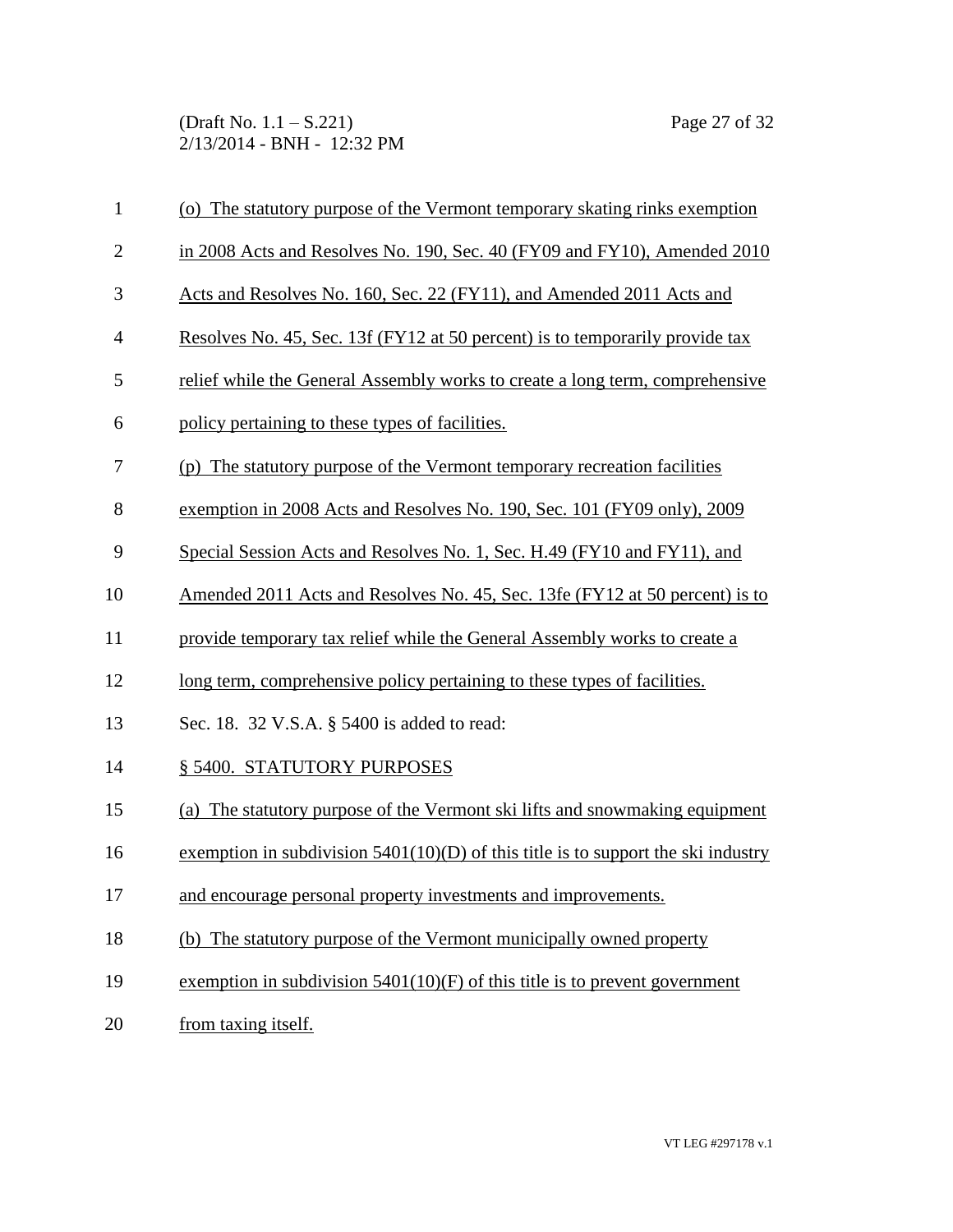(Draft No. 1.1 – S.221) Page 27 of 32 2/13/2014 - BNH - 12:32 PM

| $\mathbf{1}$   | (o) The statutory purpose of the Vermont temporary skating rinks exemption          |
|----------------|-------------------------------------------------------------------------------------|
| $\overline{2}$ | in 2008 Acts and Resolves No. 190, Sec. 40 (FY09 and FY10), Amended 2010            |
| 3              | Acts and Resolves No. 160, Sec. 22 (FY11), and Amended 2011 Acts and                |
| $\overline{4}$ | Resolves No. 45, Sec. 13f (FY12 at 50 percent) is to temporarily provide tax        |
| 5              | relief while the General Assembly works to create a long term, comprehensive        |
| 6              | policy pertaining to these types of facilities.                                     |
| 7              | (p) The statutory purpose of the Vermont temporary recreation facilities            |
| 8              | exemption in 2008 Acts and Resolves No. 190, Sec. 101 (FY09 only), 2009             |
| 9              | Special Session Acts and Resolves No. 1, Sec. H.49 (FY10 and FY11), and             |
| 10             | Amended 2011 Acts and Resolves No. 45, Sec. 13fe (FY12 at 50 percent) is to         |
| 11             | provide temporary tax relief while the General Assembly works to create a           |
| 12             | long term, comprehensive policy pertaining to these types of facilities.            |
| 13             | Sec. 18. 32 V.S.A. § 5400 is added to read:                                         |
| 14             | § 5400. STATUTORY PURPOSES                                                          |
| 15             | (a) The statutory purpose of the Vermont ski lifts and snowmaking equipment         |
| 16             | exemption in subdivision $5401(10)(D)$ of this title is to support the ski industry |
| 17             | and encourage personal property investments and improvements.                       |
| 18             | (b) The statutory purpose of the Vermont municipally owned property                 |
| 19             | exemption in subdivision $5401(10)$ (F) of this title is to prevent government      |
| 20             | from taxing itself.                                                                 |
|                |                                                                                     |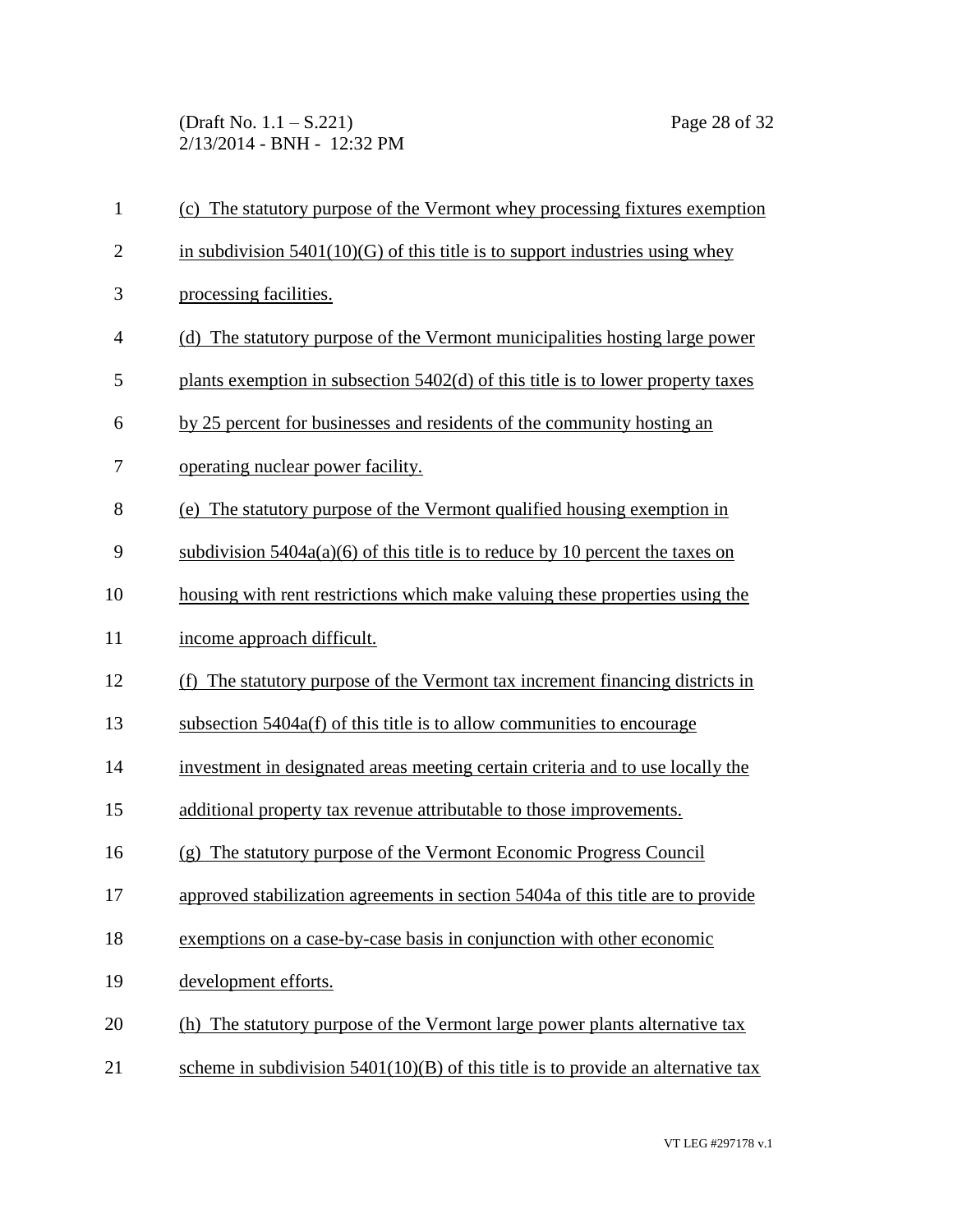(Draft No. 1.1 – S.221) Page 28 of 32 2/13/2014 - BNH - 12:32 PM

| $\mathbf{1}$ | (c) The statutory purpose of the Vermont whey processing fixtures exemption        |
|--------------|------------------------------------------------------------------------------------|
| $\mathbf{2}$ | in subdivision $5401(10)(G)$ of this title is to support industries using whey     |
| 3            | processing facilities.                                                             |
| 4            | (d) The statutory purpose of the Vermont municipalities hosting large power        |
| 5            | plants exemption in subsection 5402(d) of this title is to lower property taxes    |
| 6            | by 25 percent for businesses and residents of the community hosting an             |
| 7            | operating nuclear power facility.                                                  |
| 8            | (e) The statutory purpose of the Vermont qualified housing exemption in            |
| 9            | subdivision $5404a(a)(6)$ of this title is to reduce by 10 percent the taxes on    |
| 10           | housing with rent restrictions which make valuing these properties using the       |
| 11           | income approach difficult.                                                         |
| 12           | (f) The statutory purpose of the Vermont tax increment financing districts in      |
| 13           | subsection 5404a(f) of this title is to allow communities to encourage             |
| 14           | investment in designated areas meeting certain criteria and to use locally the     |
| 15           | additional property tax revenue attributable to those improvements.                |
| 16           | (g) The statutory purpose of the Vermont Economic Progress Council                 |
| 17           | approved stabilization agreements in section 5404a of this title are to provide    |
| 18           | exemptions on a case-by-case basis in conjunction with other economic              |
| 19           | development efforts.                                                               |
| 20           | (h) The statutory purpose of the Vermont large power plants alternative tax        |
| 21           | scheme in subdivision $5401(10)(B)$ of this title is to provide an alternative tax |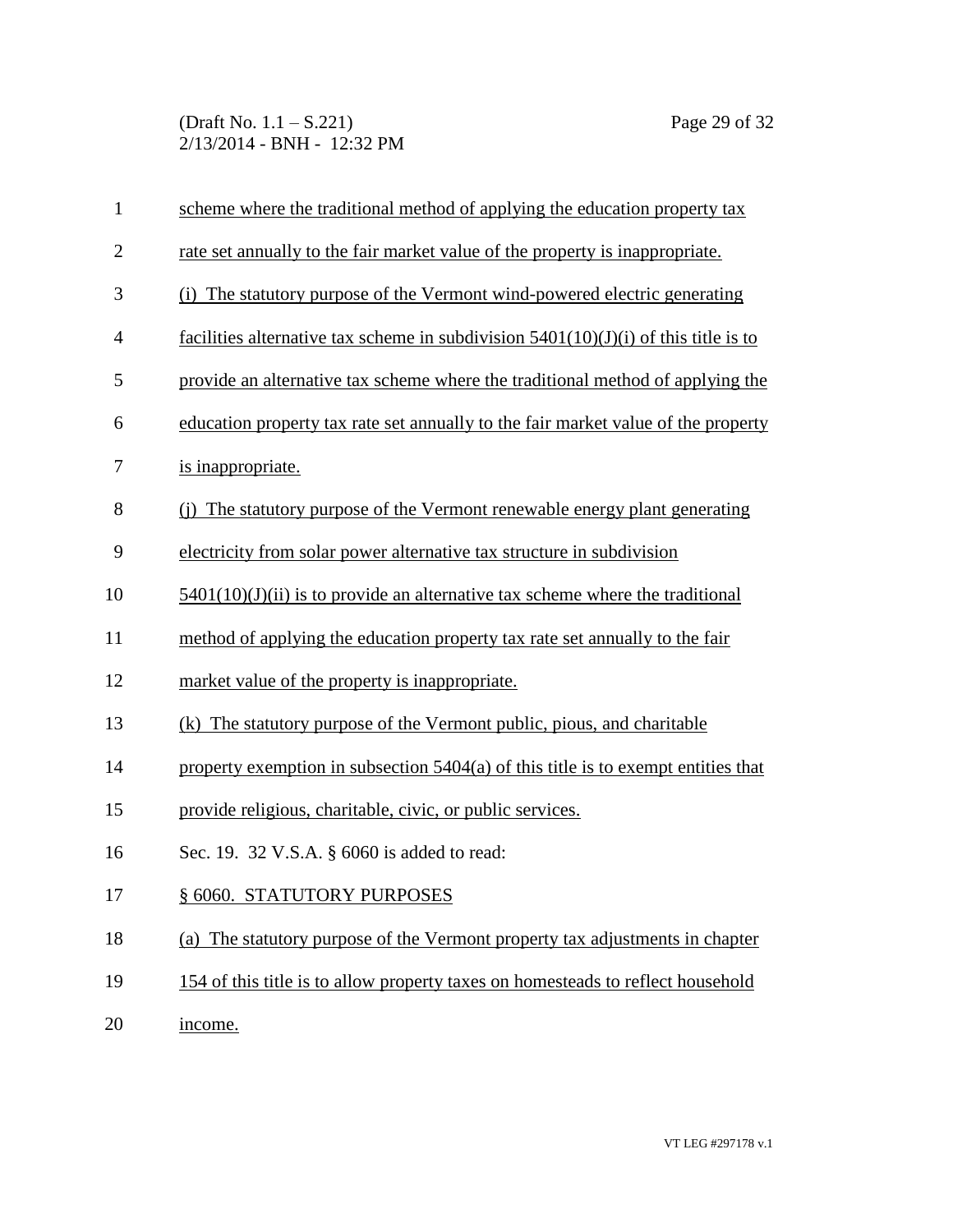(Draft No. 1.1 – S.221) Page 29 of 32 2/13/2014 - BNH - 12:32 PM

| $\mathbf{1}$   | scheme where the traditional method of applying the education property tax            |
|----------------|---------------------------------------------------------------------------------------|
| $\overline{2}$ | rate set annually to the fair market value of the property is inappropriate.          |
| 3              | (i) The statutory purpose of the Vermont wind-powered electric generating             |
| $\overline{4}$ | facilities alternative tax scheme in subdivision $5401(10)(J)(i)$ of this title is to |
| 5              | provide an alternative tax scheme where the traditional method of applying the        |
| 6              | education property tax rate set annually to the fair market value of the property     |
| 7              | is inappropriate.                                                                     |
| 8              | (i) The statutory purpose of the Vermont renewable energy plant generating            |
| 9              | electricity from solar power alternative tax structure in subdivision                 |
| 10             | $5401(10)(J)(ii)$ is to provide an alternative tax scheme where the traditional       |
| 11             | method of applying the education property tax rate set annually to the fair           |
| 12             | market value of the property is inappropriate.                                        |
| 13             | (k) The statutory purpose of the Vermont public, pious, and charitable                |
| 14             | property exemption in subsection 5404(a) of this title is to exempt entities that     |
| 15             | provide religious, charitable, civic, or public services.                             |
| 16             | Sec. 19. 32 V.S.A. § 6060 is added to read:                                           |
| 17             | § 6060. STATUTORY PURPOSES                                                            |
| 18             | (a) The statutory purpose of the Vermont property tax adjustments in chapter          |
| 19             | 154 of this title is to allow property taxes on homesteads to reflect household       |

20 income.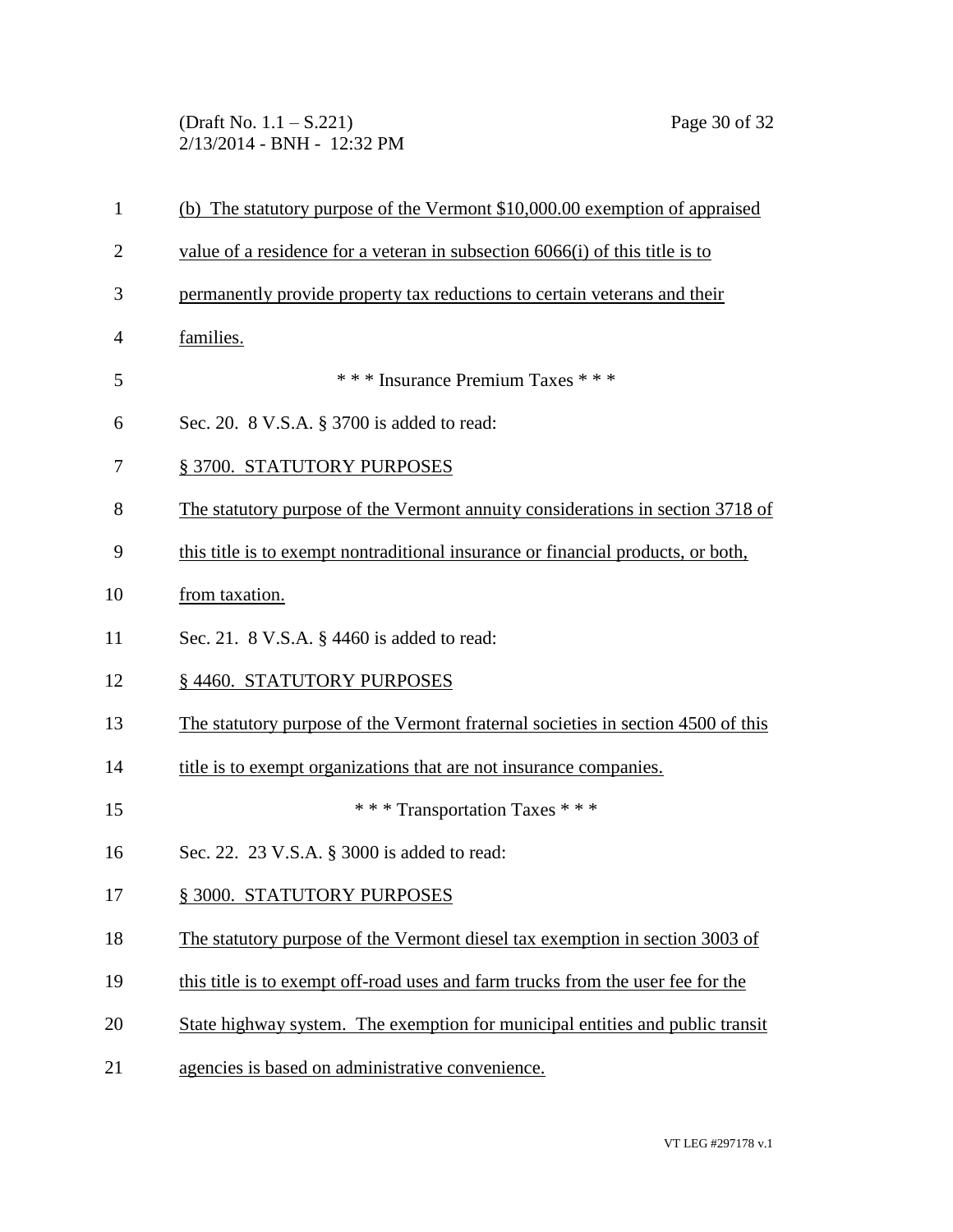(Draft No. 1.1 – S.221) Page 30 of 32 2/13/2014 - BNH - 12:32 PM

| $\mathbf{1}$   | (b) The statutory purpose of the Vermont \$10,000.00 exemption of appraised      |
|----------------|----------------------------------------------------------------------------------|
| $\overline{2}$ | value of a residence for a veteran in subsection $6066(i)$ of this title is to   |
| 3              | permanently provide property tax reductions to certain veterans and their        |
| 4              | families.                                                                        |
| 5              | *** Insurance Premium Taxes ***                                                  |
| 6              | Sec. 20. 8 V.S.A. § 3700 is added to read:                                       |
| 7              | § 3700. STATUTORY PURPOSES                                                       |
| 8              | The statutory purpose of the Vermont annuity considerations in section 3718 of   |
| 9              | this title is to exempt nontraditional insurance or financial products, or both, |
| 10             | from taxation.                                                                   |
| 11             | Sec. 21. 8 V.S.A. § 4460 is added to read:                                       |
| 12             | §4460. STATUTORY PURPOSES                                                        |
| 13             | The statutory purpose of the Vermont fraternal societies in section 4500 of this |
| 14             | title is to exempt organizations that are not insurance companies.               |
| 15             | *** Transportation Taxes ***                                                     |
| 16             | Sec. 22. 23 V.S.A. § 3000 is added to read:                                      |
| 17             | § 3000. STATUTORY PURPOSES                                                       |
| 18             | The statutory purpose of the Vermont diesel tax exemption in section 3003 of     |
| 19             | this title is to exempt off-road uses and farm trucks from the user fee for the  |
| 20             | State highway system. The exemption for municipal entities and public transit    |
| 21             | agencies is based on administrative convenience.                                 |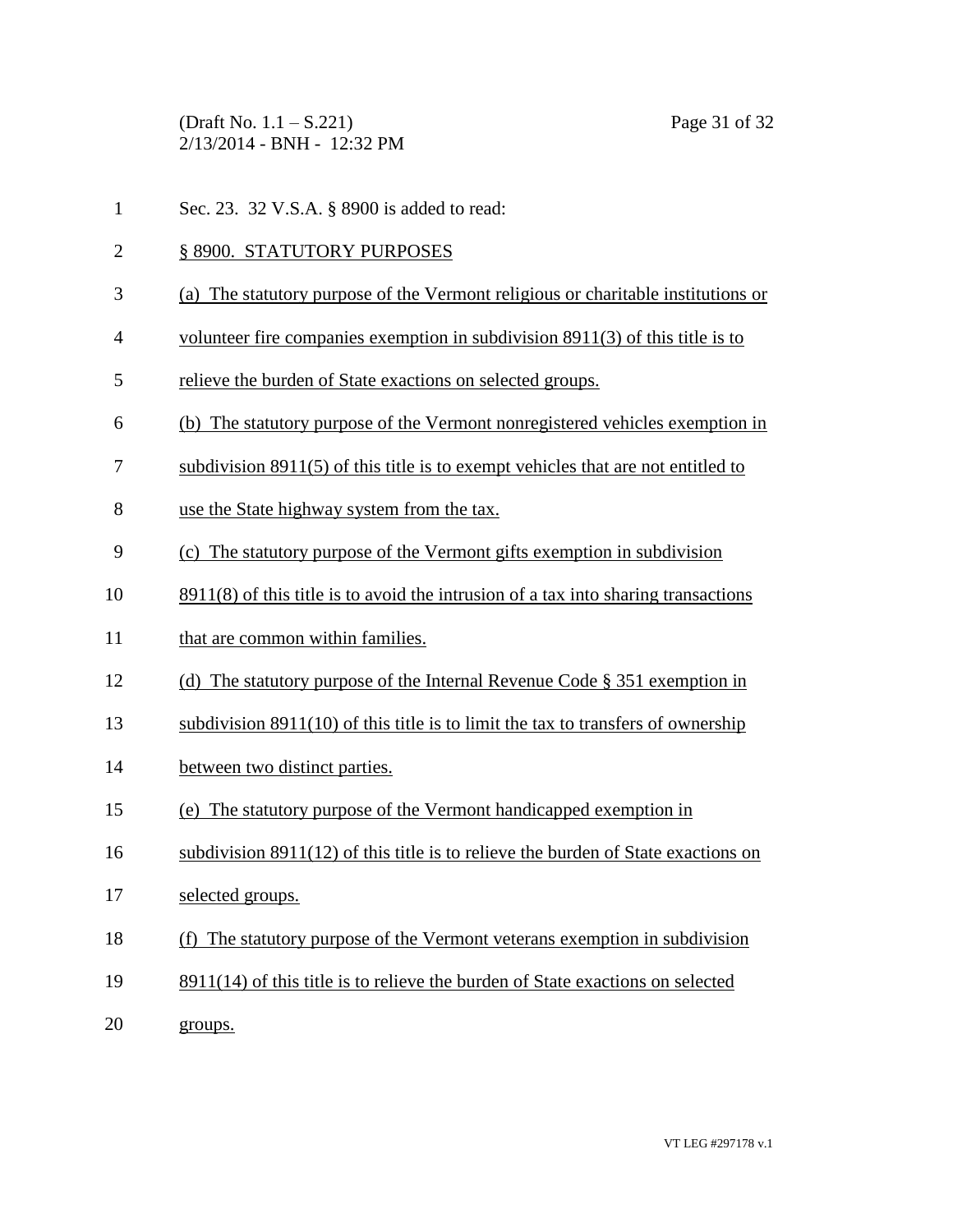(Draft No. 1.1 – S.221) Page 31 of 32 2/13/2014 - BNH - 12:32 PM

- Sec. 23. 32 V.S.A. § 8900 is added to read:
- § 8900. STATUTORY PURPOSES
- (a) The statutory purpose of the Vermont religious or charitable institutions or
- volunteer fire companies exemption in subdivision 8911(3) of this title is to
- relieve the burden of State exactions on selected groups.
- (b) The statutory purpose of the Vermont nonregistered vehicles exemption in
- subdivision 8911(5) of this title is to exempt vehicles that are not entitled to
- use the State highway system from the tax.
- (c) The statutory purpose of the Vermont gifts exemption in subdivision
- 8911(8) of this title is to avoid the intrusion of a tax into sharing transactions
- 11 that are common within families.
- (d) The statutory purpose of the Internal Revenue Code § 351 exemption in
- subdivision 8911(10) of this title is to limit the tax to transfers of ownership
- between two distinct parties.
- (e) The statutory purpose of the Vermont handicapped exemption in
- subdivision 8911(12) of this title is to relieve the burden of State exactions on
- selected groups.
- (f) The statutory purpose of the Vermont veterans exemption in subdivision
- 8911(14) of this title is to relieve the burden of State exactions on selected
- groups.